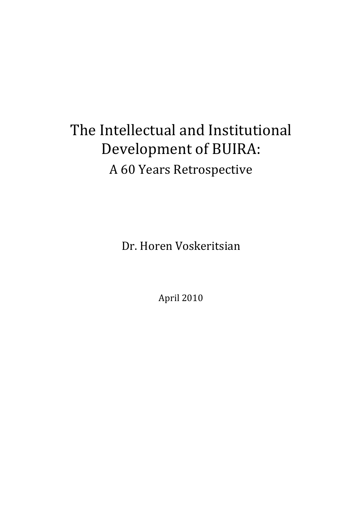# The Intellectual and Institutional Development of BUIRA: A 60 Years Retrospective

Dr. Horen Voskeritsian

April 2010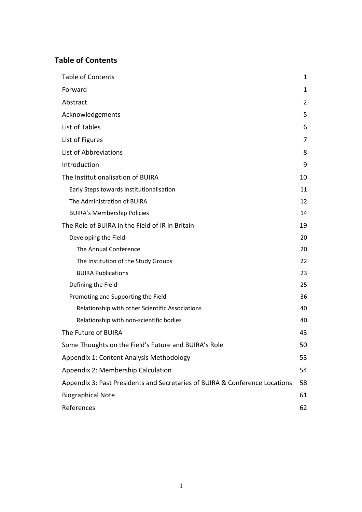### **Table of Contents**

| <b>Table of Contents</b>                                                    | 1  |
|-----------------------------------------------------------------------------|----|
| Forward                                                                     | 1  |
| Abstract                                                                    | 2  |
| Acknowledgements                                                            | 5  |
| List of Tables                                                              | 6  |
| List of Figures                                                             | 7  |
| List of Abbreviations                                                       | 8  |
| Introduction                                                                | 9  |
| The Institutionalisation of BUIRA                                           | 10 |
| Early Steps towards Institutionalisation                                    | 11 |
| The Administration of BUIRA                                                 | 12 |
| <b>BUIRA's Membership Policies</b>                                          | 14 |
| The Role of BUIRA in the Field of IR in Britain                             | 19 |
| Developing the Field                                                        | 20 |
| The Annual Conference                                                       | 20 |
| The Institution of the Study Groups                                         | 22 |
| <b>BUIRA Publications</b>                                                   | 23 |
| Defining the Field                                                          | 25 |
| Promoting and Supporting the Field                                          | 36 |
| Relationship with other Scientific Associations                             | 40 |
| Relationship with non-scientific bodies                                     | 40 |
| The Future of BUIRA                                                         | 43 |
| Some Thoughts on the Field's Future and BUIRA's Role                        | 50 |
| Appendix 1: Content Analysis Methodology                                    | 53 |
| Appendix 2: Membership Calculation                                          | 54 |
| Appendix 3: Past Presidents and Secretaries of BUIRA & Conference Locations | 58 |
| <b>Biographical Note</b>                                                    | 61 |
| References                                                                  | 62 |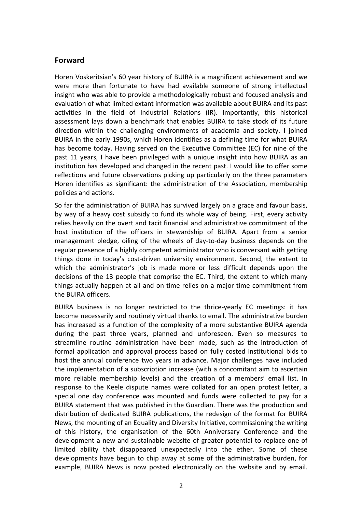#### **Forward**

Horen Voskeritsian's 60 year history of BUIRA is a magnificent achievement and we were more than fortunate to have had available someone of strong intellectual insight who was able to provide a methodologically robust and focused analysis and evaluation of what limited extant information was available about BUIRA and its past activities in the field of Industrial Relations (IR). Importantly, this historical assessment lays down a benchmark that enables BUIRA to take stock of its future direction within the challenging environments of academia and society. I joined BUIRA in the early 1990s, which Horen identifies as a defining time for what BUIRA has become today. Having served on the Executive Committee (EC) for nine of the past 11 years, I have been privileged with a unique insight into how BUIRA as an institution has developed and changed in the recent past. I would like to offer some reflections and future observations picking up particularly on the three parameters Horen identifies as significant: the administration of the Association, membership policies and actions.

So far the administration of BUIRA has survived largely on a grace and favour basis, by way of a heavy cost subsidy to fund its whole way of being. First, every activity relies heavily on the overt and tacit financial and administrative commitment of the host institution of the officers in stewardship of BUIRA. Apart from a senior management pledge, oiling of the wheels of day-to-day business depends on the regular presence of a highly competent administrator who is conversant with getting things done in today's cost-driven university environment. Second, the extent to which the administrator's job is made more or less difficult depends upon the decisions of the 13 people that comprise the EC. Third, the extent to which many things actually happen at all and on time relies on a major time commitment from the BUIRA officers.

BUIRA business is no longer restricted to the thrice-yearly EC meetings: it has become necessarily and routinely virtual thanks to email. The administrative burden has increased as a function of the complexity of a more substantive BUIRA agenda during the past three years, planned and unforeseen. Even so measures to streamline routine administration have been made, such as the introduction of formal application and approval process based on fully costed institutional bids to host the annual conference two years in advance. Major challenges have included the implementation of a subscription increase (with a concomitant aim to ascertain more reliable membership levels) and the creation of a members' email list. In response to the Keele dispute names were collated for an open protest letter, a special one day conference was mounted and funds were collected to pay for a BUIRA statement that was published in the Guardian. There was the production and distribution of dedicated BUIRA publications, the redesign of the format for BUIRA News, the mounting of an Equality and Diversity Initiative, commissioning the writing of this history, the organisation of the 60th Anniversary Conference and the development a new and sustainable website of greater potential to replace one of limited ability that disappeared unexpectedly into the ether. Some of these developments have begun to chip away at some of the administrative burden, for example, BUIRA News is now posted electronically on the website and by email.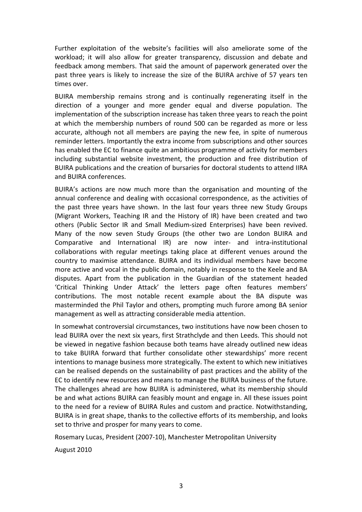Further exploitation of the website's facilities will also ameliorate some of the workload; it will also allow for greater transparency, discussion and debate and feedback among members. That said the amount of paperwork generated over the past three years is likely to increase the size of the BUIRA archive of 57 years ten times over.

BUIRA membership remains strong and is continually regenerating itself in the direction of a younger and more gender equal and diverse population. The implementation of the subscription increase has taken three years to reach the point at which the membership numbers of round 500 can be regarded as more or less accurate, although not all members are paying the new fee, in spite of numerous reminder letters. Importantly the extra income from subscriptions and other sources has enabled the EC to finance quite an ambitious programme of activity for members including substantial website investment, the production and free distribution of BUIRA publications and the creation of bursaries for doctoral students to attend IIRA and BUIRA conferences.

BUIRA's actions are now much more than the organisation and mounting of the annual conference and dealing with occasional correspondence, as the activities of the past three years have shown. In the last four years three new Study Groups (Migrant Workers, Teaching IR and the History of IR) have been created and two others (Public Sector IR and Small Medium-sized Enterprises) have been revived. Many of the now seven Study Groups (the other two are London BUIRA and Comparative and International IR) are now inter- and intra-institutional collaborations with regular meetings taking place at different venues around the country to maximise attendance. BUIRA and its individual members have become more active and vocal in the public domain, notably in response to the Keele and BA disputes. Apart from the publication in the Guardian of the statement headed 'Critical Thinking Under Attack' the letters page often features members' contributions. The most notable recent example about the BA dispute was masterminded the Phil Taylor and others, prompting much furore among BA senior management as well as attracting considerable media attention.

In somewhat controversial circumstances, two institutions have now been chosen to lead BUIRA over the next six years, first Strathclyde and then Leeds. This should not be viewed in negative fashion because both teams have already outlined new ideas to take BUIRA forward that further consolidate other stewardships' more recent intentions to manage business more strategically. The extent to which new initiatives can be realised depends on the sustainability of past practices and the ability of the EC to identify new resources and means to manage the BUIRA business of the future. The challenges ahead are how BUIRA is administered, what its membership should be and what actions BUIRA can feasibly mount and engage in. All these issues point to the need for a review of BUIRA Rules and custom and practice. Notwithstanding, BUIRA is in great shape, thanks to the collective efforts of its membership, and looks set to thrive and prosper for many years to come.

Rosemary Lucas, President (2007-10), Manchester Metropolitan University

August 2010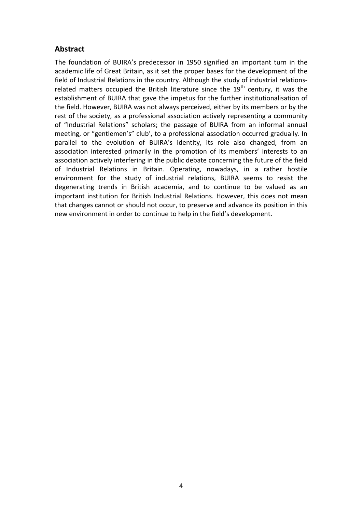### **Abstract**

The foundation of BUIRA's predecessor in 1950 signified an important turn in the academic life of Great Britain, as it set the proper bases for the development of the field of Industrial Relations in the country. Although the study of industrial relationsrelated matters occupied the British literature since the  $19<sup>th</sup>$  century, it was the establishment of BUIRA that gave the impetus for the further institutionalisation of the field. However, BUIRA was not always perceived, either by its members or by the rest of the society, as a professional association actively representing a community of "Industrial Relations" scholars; the passage of BUIRA from an informal annual meeting, or "gentlemen's" club', to a professional association occurred gradually. In parallel to the evolution of BUIRA's identity, its role also changed, from an association interested primarily in the promotion of its members' interests to an association actively interfering in the public debate concerning the future of the field of Industrial Relations in Britain. Operating, nowadays, in a rather hostile environment for the study of industrial relations, BUIRA seems to resist the degenerating trends in British academia, and to continue to be valued as an important institution for British Industrial Relations. However, this does not mean that changes cannot or should not occur, to preserve and advance its position in this new environment in order to continue to help in the field's development.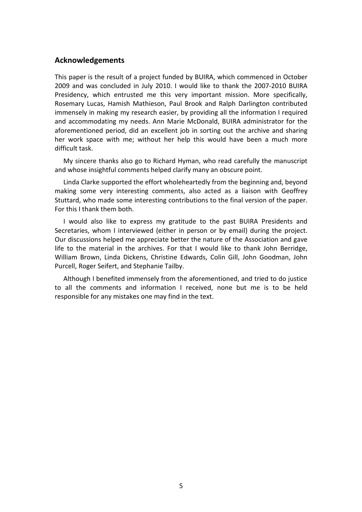#### **Acknowledgements**

This paper is the result of a project funded by BUIRA, which commenced in October 2009 and was concluded in July 2010. I would like to thank the 2007-2010 BUIRA Presidency, which entrusted me this very important mission. More specifically, Rosemary Lucas, Hamish Mathieson, Paul Brook and Ralph Darlington contributed immensely in making my research easier, by providing all the information I required and accommodating my needs. Ann Marie McDonald, BUIRA administrator for the aforementioned period, did an excellent job in sorting out the archive and sharing her work space with me; without her help this would have been a much more difficult task.

My sincere thanks also go to Richard Hyman, who read carefully the manuscript and whose insightful comments helped clarify many an obscure point.

Linda Clarke supported the effort wholeheartedly from the beginning and, beyond making some very interesting comments, also acted as a liaison with Geoffrey Stuttard, who made some interesting contributions to the final version of the paper. For this I thank them both.

I would also like to express my gratitude to the past BUIRA Presidents and Secretaries, whom I interviewed (either in person or by email) during the project. Our discussions helped me appreciate better the nature of the Association and gave life to the material in the archives. For that I would like to thank John Berridge, William Brown, Linda Dickens, Christine Edwards, Colin Gill, John Goodman, John Purcell, Roger Seifert, and Stephanie Tailby.

Although I benefited immensely from the aforementioned, and tried to do justice to all the comments and information I received, none but me is to be held responsible for any mistakes one may find in the text.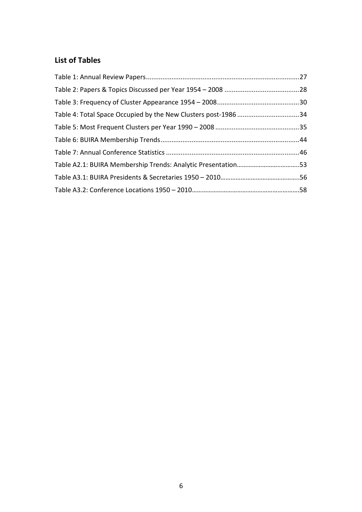### **List of Tables**

| Table A2.1: BUIRA Membership Trends: Analytic Presentation53 |  |
|--------------------------------------------------------------|--|
|                                                              |  |
|                                                              |  |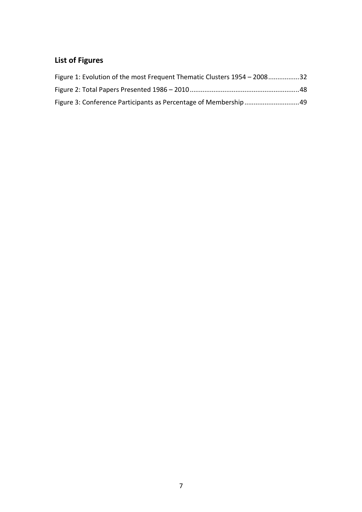## **List of Figures**

| Figure 1: Evolution of the most Frequent Thematic Clusters 1954 – 200832 |  |
|--------------------------------------------------------------------------|--|
|                                                                          |  |
|                                                                          |  |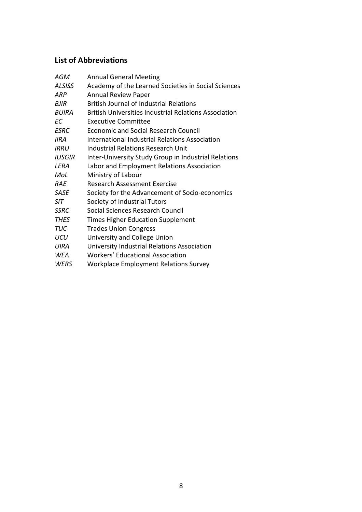### **List of Abbreviations**

| AGM           | <b>Annual General Meeting</b>                                |
|---------------|--------------------------------------------------------------|
| <b>ALSISS</b> | Academy of the Learned Societies in Social Sciences          |
| <b>ARP</b>    | <b>Annual Review Paper</b>                                   |
| BJIR          | <b>British Journal of Industrial Relations</b>               |
| BUIRA         | <b>British Universities Industrial Relations Association</b> |
| FC            | <b>Executive Committee</b>                                   |
| <b>FSRC</b>   | <b>Economic and Social Research Council</b>                  |
| <b>IIRA</b>   | International Industrial Relations Association               |
| IRRU          | <b>Industrial Relations Research Unit</b>                    |
| <b>IUSGIR</b> | Inter-University Study Group in Industrial Relations         |
| LERA          | Labor and Employment Relations Association                   |
| MoL           | Ministry of Labour                                           |
| RAF           | Research Assessment Exercise                                 |
| <b>SASE</b>   | Society for the Advancement of Socio-economics               |
| <b>SIT</b>    | Society of Industrial Tutors                                 |
| <b>SSRC</b>   | Social Sciences Research Council                             |
| <b>THES</b>   | <b>Times Higher Education Supplement</b>                     |
| <b>TUC</b>    | <b>Trades Union Congress</b>                                 |
| UCU           | University and College Union                                 |
| <b>UIRA</b>   | University Industrial Relations Association                  |
| <i>WFA</i>    | <b>Workers' Educational Association</b>                      |
| WERS          | <b>Workplace Employment Relations Survey</b>                 |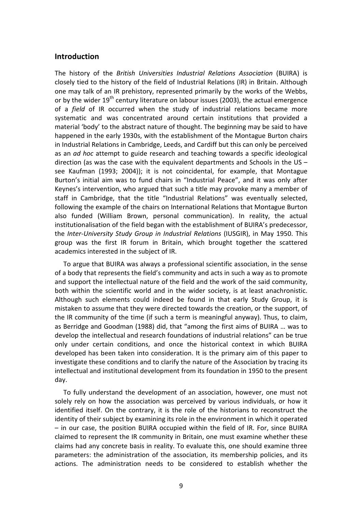#### **Introduction**

The history of the *British Universities Industrial Relations Association* (BUIRA) is closely tied to the history of the field of Industrial Relations (IR) in Britain. Although one may talk of an IR prehistory, represented primarily by the works of the Webbs, or by the wider  $19<sup>th</sup>$  century literature on labour issues (2003), the actual emergence of a *field* of IR occurred when the study of industrial relations became more systematic and was concentrated around certain institutions that provided a material 'body' to the abstract nature of thought. The beginning may be said to have happened in the early 1930s, with the establishment of the Montague Burton chairs in Industrial Relations in Cambridge, Leeds, and Cardiff but this can only be perceived as an *ad hoc* attempt to guide research and teaching towards a specific ideological direction (as was the case with the equivalent departments and Schools in the US – see Kaufman (1993; 2004)); it is not coincidental, for example, that Montague Burton's initial aim was to fund chairs in "Industrial Peace", and it was only after Keynes's intervention, who argued that such a title may provoke many a member of staff in Cambridge, that the title "Industrial Relations" was eventually selected, following the example of the chairs on International Relations that Montague Burton also funded (William Brown, personal communication). In reality, the actual institutionalisation of the field began with the establishment of BUIRA's predecessor, the *Inter-University Study Group in Industrial Relations* (IUSGIR), in May 1950. This group was the first IR forum in Britain, which brought together the scattered academics interested in the subject of IR.

To argue that BUIRA was always a professional scientific association, in the sense of a body that represents the field's community and acts in such a way as to promote and support the intellectual nature of the field and the work of the said community, both within the scientific world and in the wider society, is at least anachronistic. Although such elements could indeed be found in that early Study Group, it is mistaken to assume that they were directed towards the creation, or the support, of the IR community of the time (if such a term is meaningful anyway). Thus, to claim, as Berridge and Goodman (1988) did, that "among the first aims of BUIRA … was to develop the intellectual and research foundations of industrial relations" can be true only under certain conditions, and once the historical context in which BUIRA developed has been taken into consideration. It is the primary aim of this paper to investigate these conditions and to clarify the nature of the Association by tracing its intellectual and institutional development from its foundation in 1950 to the present day.

To fully understand the development of an association, however, one must not solely rely on how the association was perceived by various individuals, or how it identified itself. On the contrary, it is the role of the historians to reconstruct the identity of their subject by examining its role in the environment in which it operated – in our case, the position BUIRA occupied within the field of IR. For, since BUIRA claimed to represent the IR community in Britain, one must examine whether these claims had any concrete basis in reality. To evaluate this, one should examine three parameters: the administration of the association, its membership policies, and its actions. The administration needs to be considered to establish whether the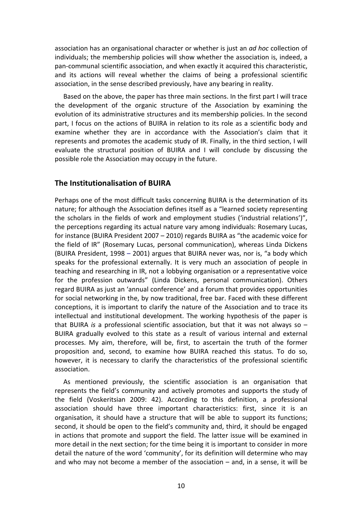association has an organisational character or whether is just an *ad hoc* collection of individuals; the membership policies will show whether the association is, indeed, a pan-communal scientific association, and when exactly it acquired this characteristic, and its actions will reveal whether the claims of being a professional scientific association, in the sense described previously, have any bearing in reality.

Based on the above, the paper has three main sections. In the first part I will trace the development of the organic structure of the Association by examining the evolution of its administrative structures and its membership policies. In the second part, I focus on the actions of BUIRA in relation to its role as a scientific body and examine whether they are in accordance with the Association's claim that it represents and promotes the academic study of IR. Finally, in the third section, I will evaluate the structural position of BUIRA and I will conclude by discussing the possible role the Association may occupy in the future.

#### **The Institutionalisation of BUIRA**

Perhaps one of the most difficult tasks concerning BUIRA is the determination of its nature; for although the Association defines itself as a "learned society representing the scholars in the fields of work and employment studies ('industrial relations')", the perceptions regarding its actual nature vary among individuals: Rosemary Lucas, for instance (BUIRA President 2007 – 2010) regards BUIRA as "the academic voice for the field of IR" (Rosemary Lucas, personal communication), whereas Linda Dickens (BUIRA President, 1998 – 2001) argues that BUIRA never was, nor is, "a body which speaks for the professional externally. It is very much an association of people in teaching and researching in IR, not a lobbying organisation or a representative voice for the profession outwards" (Linda Dickens, personal communication). Others regard BUIRA as just an 'annual conference' and a forum that provides opportunities for social networking in the, by now traditional, free bar. Faced with these different conceptions, it is important to clarify the nature of the Association and to trace its intellectual and institutional development. The working hypothesis of the paper is that BUIRA *is* a professional scientific association, but that it was not always so – BUIRA gradually evolved to this state as a result of various internal and external processes. My aim, therefore, will be, first, to ascertain the truth of the former proposition and, second, to examine how BUIRA reached this status. To do so, however, it is necessary to clarify the characteristics of the professional scientific association.

As mentioned previously, the scientific association is an organisation that represents the field's community and actively promotes and supports the study of the field (Voskeritsian 2009: 42). According to this definition, a professional association should have three important characteristics: first, since it is an organisation, it should have a structure that will be able to support its functions; second, it should be open to the field's community and, third, it should be engaged in actions that promote and support the field. The latter issue will be examined in more detail in the next section; for the time being it is important to consider in more detail the nature of the word 'community', for its definition will determine who may and who may not become a member of the association – and, in a sense, it will be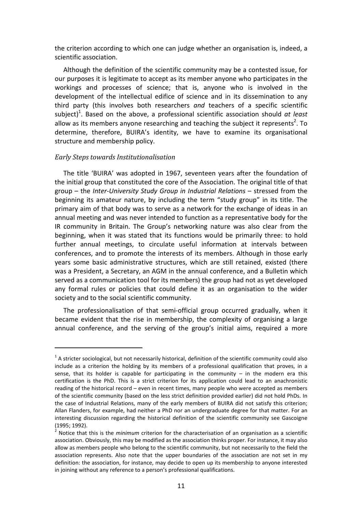the criterion according to which one can judge whether an organisation is, indeed, a scientific association.

Although the definition of the scientific community may be a contested issue, for our purposes it is legitimate to accept as its member anyone who participates in the workings and processes of science; that is, anyone who is involved in the development of the intellectual edifice of science and in its dissemination to any third party (this involves both researchers *and* teachers of a specific scientific subject)<sup>1</sup>. Based on the above, a professional scientific association should *at least* allow as its members anyone researching and teaching the subject it represents<sup>2</sup>. To determine, therefore, BUIRA's identity, we have to examine its organisational structure and membership policy.

#### *Early Steps towards Institutionalisation*

l

The title 'BUIRA' was adopted in 1967, seventeen years after the foundation of the initial group that constituted the core of the Association. The original title of that group – the *Inter-University Study Group in Industrial Relations* – stressed from the beginning its amateur nature, by including the term "study group" in its title. The primary aim of that body was to serve as a network for the exchange of ideas in an annual meeting and was never intended to function as a representative body for the IR community in Britain. The Group's networking nature was also clear from the beginning, when it was stated that its functions would be primarily three: to hold further annual meetings, to circulate useful information at intervals between conferences, and to promote the interests of its members. Although in those early years some basic administrative structures, which are still retained, existed (there was a President, a Secretary, an AGM in the annual conference, and a Bulletin which served as a communication tool for its members) the group had not as yet developed any formal rules or policies that could define it as an organisation to the wider society and to the social scientific community.

The professionalisation of that semi-official group occurred gradually, when it became evident that the rise in membership, the complexity of organising a large annual conference, and the serving of the group's initial aims, required a more

 $<sup>1</sup>$  A stricter sociological, but not necessarily historical, definition of the scientific community could also</sup> include as a criterion the holding by its members of a professional qualification that proves, in a sense, that its holder is capable for participating in the community  $-$  in the modern era this certification is the PhD. This is a strict criterion for its application could lead to an anachronistic reading of the historical record – even in recent times, many people who were accepted as members of the scientific community (based on the less strict definition provided earlier) did not hold PhDs. In the case of Industrial Relations, many of the early members of BUIRA did not satisfy this criterion; Allan Flanders, for example, had neither a PhD nor an undergraduate degree for that matter. For an interesting discussion regarding the historical definition of the scientific community see Gascoigne (1995; 1992).

<sup>2</sup> Notice that this is the *minimum* criterion for the characterisation of an organisation as a scientific association. Obviously, this may be modified as the association thinks proper. For instance, it may also allow as members people who belong to the scientific community, but not necessarily to the field the association represents. Also note that the upper boundaries of the association are not set in my definition: the association, for instance, may decide to open up its membership to anyone interested in joining without any reference to a person's professional qualifications.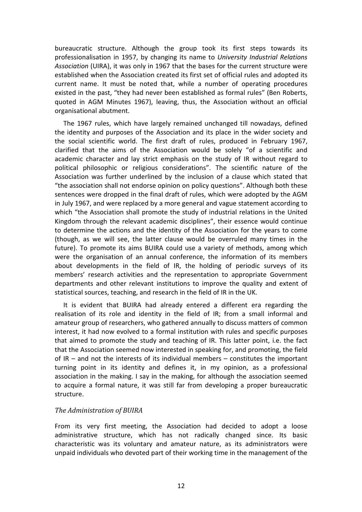bureaucratic structure. Although the group took its first steps towards its professionalisation in 1957, by changing its name to *University Industrial Relations Association* (UIRA), it was only in 1967 that the bases for the current structure were established when the Association created its first set of official rules and adopted its current name. It must be noted that, while a number of operating procedures existed in the past, "they had never been established as formal rules" (Ben Roberts, quoted in AGM Minutes 1967), leaving, thus, the Association without an official organisational abutment.

The 1967 rules, which have largely remained unchanged till nowadays, defined the identity and purposes of the Association and its place in the wider society and the social scientific world. The first draft of rules, produced in February 1967, clarified that the aims of the Association would be solely "of a scientific and academic character and lay strict emphasis on the study of IR without regard to political philosophic or religious considerations". The scientific nature of the Association was further underlined by the inclusion of a clause which stated that "the association shall not endorse opinion on policy questions". Although both these sentences were dropped in the final draft of rules, which were adopted by the AGM in July 1967, and were replaced by a more general and vague statement according to which "the Association shall promote the study of industrial relations in the United Kingdom through the relevant academic disciplines", their essence would continue to determine the actions and the identity of the Association for the years to come (though, as we will see, the latter clause would be overruled many times in the future). To promote its aims BUIRA could use a variety of methods, among which were the organisation of an annual conference, the information of its members about developments in the field of IR, the holding of periodic surveys of its members' research activities and the representation to appropriate Government departments and other relevant institutions to improve the quality and extent of statistical sources, teaching, and research in the field of IR in the UK.

It is evident that BUIRA had already entered a different era regarding the realisation of its role and identity in the field of IR; from a small informal and amateur group of researchers, who gathered annually to discuss matters of common interest, it had now evolved to a formal institution with rules and specific purposes that aimed to promote the study and teaching of IR. This latter point, i.e. the fact that the Association seemed now interested in speaking for, and promoting, the field of IR – and not the interests of its individual members – constitutes the important turning point in its identity and defines it, in my opinion, as a professional association in the making. I say in the making, for although the association seemed to acquire a formal nature, it was still far from developing a proper bureaucratic structure.

#### *The Administration of BUIRA*

From its very first meeting, the Association had decided to adopt a loose administrative structure, which has not radically changed since. Its basic characteristic was its voluntary and amateur nature, as its administrators were unpaid individuals who devoted part of their working time in the management of the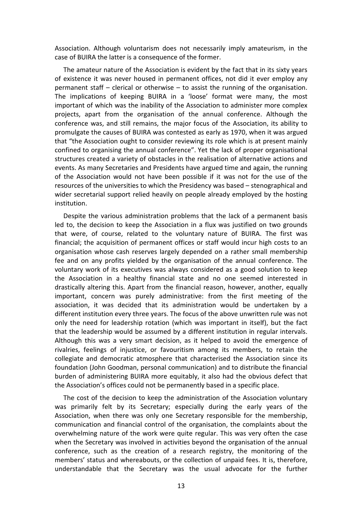Association. Although voluntarism does not necessarily imply amateurism, in the case of BUIRA the latter is a consequence of the former.

The amateur nature of the Association is evident by the fact that in its sixty years of existence it was never housed in permanent offices, not did it ever employ any permanent staff – clerical or otherwise – to assist the running of the organisation. The implications of keeping BUIRA in a 'loose' format were many, the most important of which was the inability of the Association to administer more complex projects, apart from the organisation of the annual conference. Although the conference was, and still remains, the major focus of the Association, its ability to promulgate the causes of BUIRA was contested as early as 1970, when it was argued that "the Association ought to consider reviewing its role which is at present mainly confined to organising the annual conference". Yet the lack of proper organisational structures created a variety of obstacles in the realisation of alternative actions and events. As many Secretaries and Presidents have argued time and again, the running of the Association would not have been possible if it was not for the use of the resources of the universities to which the Presidency was based – stenographical and wider secretarial support relied heavily on people already employed by the hosting institution.

Despite the various administration problems that the lack of a permanent basis led to, the decision to keep the Association in a flux was justified on two grounds that were, of course, related to the voluntary nature of BUIRA. The first was financial; the acquisition of permanent offices or staff would incur high costs to an organisation whose cash reserves largely depended on a rather small membership fee and on any profits yielded by the organisation of the annual conference. The voluntary work of its executives was always considered as a good solution to keep the Association in a healthy financial state and no one seemed interested in drastically altering this. Apart from the financial reason, however, another, equally important, concern was purely administrative: from the first meeting of the association, it was decided that its administration would be undertaken by a different institution every three years. The focus of the above unwritten rule was not only the need for leadership rotation (which was important in itself), but the fact that the leadership would be assumed by a different institution in regular intervals. Although this was a very smart decision, as it helped to avoid the emergence of rivalries, feelings of injustice, or favouritism among its members, to retain the collegiate and democratic atmosphere that characterised the Association since its foundation (John Goodman, personal communication) and to distribute the financial burden of administering BUIRA more equitably, it also had the obvious defect that the Association's offices could not be permanently based in a specific place.

The cost of the decision to keep the administration of the Association voluntary was primarily felt by its Secretary; especially during the early years of the Association, when there was only one Secretary responsible for the membership, communication and financial control of the organisation, the complaints about the overwhelming nature of the work were quite regular. This was very often the case when the Secretary was involved in activities beyond the organisation of the annual conference, such as the creation of a research registry, the monitoring of the members' status and whereabouts, or the collection of unpaid fees. It is, therefore, understandable that the Secretary was the usual advocate for the further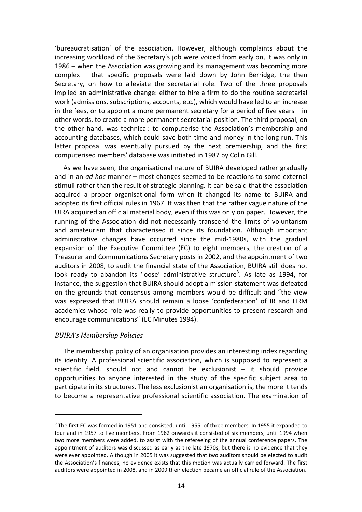'bureaucratisation' of the association. However, although complaints about the increasing workload of the Secretary's job were voiced from early on, it was only in 1986 – when the Association was growing and its management was becoming more complex – that specific proposals were laid down by John Berridge, the then Secretary, on how to alleviate the secretarial role. Two of the three proposals implied an administrative change: either to hire a firm to do the routine secretarial work (admissions, subscriptions, accounts, etc.), which would have led to an increase in the fees, or to appoint a more permanent secretary for a period of five years – in other words, to create a more permanent secretarial position. The third proposal, on the other hand, was technical: to computerise the Association's membership and accounting databases, which could save both time and money in the long run. This latter proposal was eventually pursued by the next premiership, and the first computerised members' database was initiated in 1987 by Colin Gill.

As we have seen, the organisational nature of BUIRA developed rather gradually and in an *ad hoc* manner – most changes seemed to be reactions to some external stimuli rather than the result of strategic planning. It can be said that the association acquired a proper organisational form when it changed its name to BUIRA and adopted its first official rules in 1967. It was then that the rather vague nature of the UIRA acquired an official material body, even if this was only on paper. However, the running of the Association did not necessarily transcend the limits of voluntarism and amateurism that characterised it since its foundation. Although important administrative changes have occurred since the mid-1980s, with the gradual expansion of the Executive Committee (EC) to eight members, the creation of a Treasurer and Communications Secretary posts in 2002, and the appointment of two auditors in 2008, to audit the financial state of the Association, BUIRA still does not look ready to abandon its 'loose' administrative structure<sup>3</sup>. As late as 1994, for instance, the suggestion that BUIRA should adopt a mission statement was defeated on the grounds that consensus among members would be difficult and "the view was expressed that BUIRA should remain a loose 'confederation' of IR and HRM academics whose role was really to provide opportunities to present research and encourage communications" (EC Minutes 1994).

#### *BUIRA's Membership Policies*

l

The membership policy of an organisation provides an interesting index regarding its identity. A professional scientific association, which is supposed to represent a scientific field, should not and cannot be exclusionist – it should provide opportunities to anyone interested in the study of the specific subject area to participate in its structures. The less exclusionist an organisation is, the more it tends to become a representative professional scientific association. The examination of

 $3$  The first EC was formed in 1951 and consisted, until 1955, of three members. In 1955 it expanded to four and in 1957 to five members. From 1962 onwards it consisted of six members, until 1994 when two more members were added, to assist with the refereeing of the annual conference papers. The appointment of auditors was discussed as early as the late 1970s, but there is no evidence that they were ever appointed. Although in 2005 it was suggested that two auditors should be elected to audit the Association's finances, no evidence exists that this motion was actually carried forward. The first auditors were appointed in 2008, and in 2009 their election became an official rule of the Association.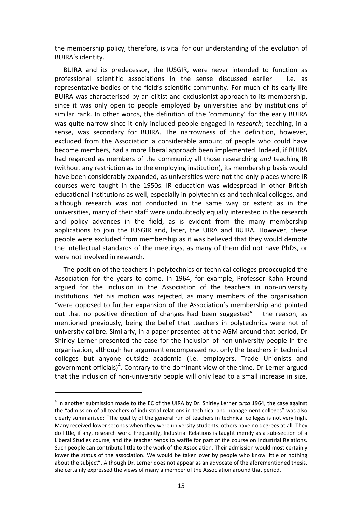the membership policy, therefore, is vital for our understanding of the evolution of BUIRA's identity.

BUIRA and its predecessor, the IUSGIR, were never intended to function as professional scientific associations in the sense discussed earlier – i.e. as representative bodies of the field's scientific community. For much of its early life BUIRA was characterised by an elitist and exclusionist approach to its membership, since it was only open to people employed by universities and by institutions of similar rank. In other words, the definition of the 'community' for the early BUIRA was quite narrow since it only included people engaged in *research*; teaching, in a sense, was secondary for BUIRA. The narrowness of this definition, however, excluded from the Association a considerable amount of people who could have become members, had a more liberal approach been implemented. Indeed, if BUIRA had regarded as members of the community all those researching *and* teaching IR (without any restriction as to the employing institution), its membership basis would have been considerably expanded, as universities were not the only places where IR courses were taught in the 1950s. IR education was widespread in other British educational institutions as well, especially in polytechnics and technical colleges, and although research was not conducted in the same way or extent as in the universities, many of their staff were undoubtedly equally interested in the research and policy advances in the field, as is evident from the many membership applications to join the IUSGIR and, later, the UIRA and BUIRA. However, these people were excluded from membership as it was believed that they would demote the intellectual standards of the meetings, as many of them did not have PhDs, or were not involved in research.

The position of the teachers in polytechnics or technical colleges preoccupied the Association for the years to come. In 1964, for example, Professor Kahn Freund argued for the inclusion in the Association of the teachers in non-university institutions. Yet his motion was rejected, as many members of the organisation "were opposed to further expansion of the Association's membership and pointed out that no positive direction of changes had been suggested" – the reason, as mentioned previously, being the belief that teachers in polytechnics were not of university calibre. Similarly, in a paper presented at the AGM around that period, Dr Shirley Lerner presented the case for the inclusion of non-university people in the organisation, although her argument encompassed not only the teachers in technical colleges but anyone outside academia (i.e. employers, Trade Unionists and government officials)<sup>4</sup>. Contrary to the dominant view of the time, Dr Lerner argued that the inclusion of non-university people will only lead to a small increase in size,

l

<sup>4</sup> In another submission made to the EC of the UIRA by Dr. Shirley Lerner *circa* 1964, the case against the "admission of all teachers of industrial relations in technical and management colleges" was also clearly summarised: "The quality of the general run of teachers in technical colleges is not very high. Many received lower seconds when they were university students; others have no degrees at all. They do little, if any, research work. Frequently, Industrial Relations is taught merely as a sub-section of a Liberal Studies course, and the teacher tends to waffle for part of the course on Industrial Relations. Such people can contribute little to the work of the Association. Their admission would most certainly lower the status of the association. We would be taken over by people who know little or nothing about the subject". Although Dr. Lerner does not appear as an advocate of the aforementioned thesis, she certainly expressed the views of many a member of the Association around that period.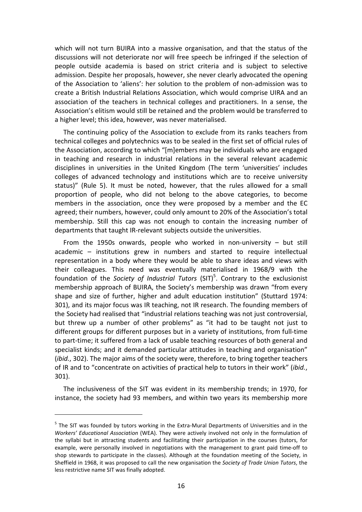which will not turn BUIRA into a massive organisation, and that the status of the discussions will not deteriorate nor will free speech be infringed if the selection of people outside academia is based on strict criteria and is subject to selective admission. Despite her proposals, however, she never clearly advocated the opening of the Association to 'aliens': her solution to the problem of non-admission was to create a British Industrial Relations Association, which would comprise UIRA and an association of the teachers in technical colleges and practitioners. In a sense, the Association's elitism would still be retained and the problem would be transferred to a higher level; this idea, however, was never materialised.

The continuing policy of the Association to exclude from its ranks teachers from technical colleges and polytechnics was to be sealed in the first set of official rules of the Association, according to which "[m]embers may be individuals who are engaged in teaching and research in industrial relations in the several relevant academic disciplines in universities in the United Kingdom (The term 'universities' includes colleges of advanced technology and institutions which are to receive university status)" (Rule 5). It must be noted, however, that the rules allowed for a small proportion of people, who did not belong to the above categories, to become members in the association, once they were proposed by a member and the EC agreed; their numbers, however, could only amount to 20% of the Association's total membership. Still this cap was not enough to contain the increasing number of departments that taught IR-relevant subjects outside the universities.

From the 1950s onwards, people who worked in non-university – but still academic – institutions grew in numbers and started to require intellectual representation in a body where they would be able to share ideas and views with their colleagues. This need was eventually materialised in 1968/9 with the foundation of the *Society of Industrial Tutors* (SIT)<sup>5</sup>. Contrary to the exclusionist membership approach of BUIRA, the Society's membership was drawn "from every shape and size of further, higher and adult education institution" (Stuttard 1974: 301), and its major focus was IR teaching, not IR research. The founding members of the Society had realised that "industrial relations teaching was not just controversial, but threw up a number of other problems" as "it had to be taught not just to different groups for different purposes but in a variety of institutions, from full-time to part-time; it suffered from a lack of usable teaching resources of both general and specialist kinds; and it demanded particular attitudes in teaching and organisation" (*ibid.*, 302). The major aims of the society were, therefore, to bring together teachers of IR and to "concentrate on activities of practical help to tutors in their work" (*ibid.*, 301).

The inclusiveness of the SIT was evident in its membership trends; in 1970, for instance, the society had 93 members, and within two years its membership more

l

<sup>&</sup>lt;sup>5</sup> The SIT was founded by tutors working in the Extra-Mural Departments of Universities and in the *Workers' Educational Association* (WEA). They were actively involved not only in the formulation of the syllabi but in attracting students and facilitating their participation in the courses (tutors, for example, were personally involved in negotiations with the management to grant paid time-off to shop stewards to participate in the classes). Although at the foundation meeting of the Society, in Sheffield in 1968, it was proposed to call the new organisation the *Society of Trade Union Tutors*, the less restrictive name SIT was finally adopted.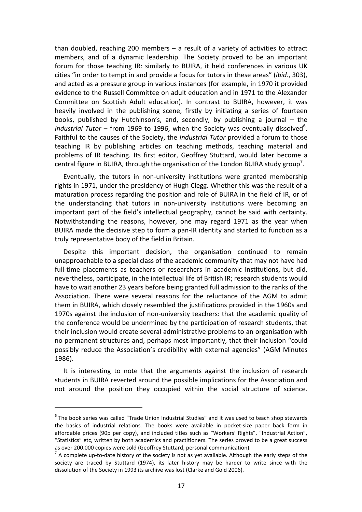than doubled, reaching 200 members – a result of a variety of activities to attract members, and of a dynamic leadership. The Society proved to be an important forum for those teaching IR: similarly to BUIRA, it held conferences in various UK cities "in order to tempt in and provide a focus for tutors in these areas" (*ibid.*, 303), and acted as a pressure group in various instances (for example, in 1970 it provided evidence to the Russell Committee on adult education and in 1971 to the Alexander Committee on Scottish Adult education). In contrast to BUIRA, however, it was heavily involved in the publishing scene, firstly by initiating a series of fourteen books, published by Hutchinson's, and, secondly, by publishing a journal – the Industrial Tutor – from 1969 to 1996, when the Society was eventually dissolved<sup>6</sup>. Faithful to the causes of the Society, the *Industrial Tutor* provided a forum to those teaching IR by publishing articles on teaching methods, teaching material and problems of IR teaching. Its first editor, Geoffrey Stuttard, would later become a central figure in BUIRA, through the organisation of the London BUIRA study group<sup>7</sup>.

Eventually, the tutors in non-university institutions were granted membership rights in 1971, under the presidency of Hugh Clegg. Whether this was the result of a maturation process regarding the position and role of BUIRA in the field of IR, or of the understanding that tutors in non-university institutions were becoming an important part of the field's intellectual geography, cannot be said with certainty. Notwithstanding the reasons, however, one may regard 1971 as the year when BUIRA made the decisive step to form a pan-IR identity and started to function as a truly representative body of the field in Britain.

Despite this important decision, the organisation continued to remain unapproachable to a special class of the academic community that may not have had full-time placements as teachers or researchers in academic institutions, but did, nevertheless, participate, in the intellectual life of British IR; research students would have to wait another 23 years before being granted full admission to the ranks of the Association. There were several reasons for the reluctance of the AGM to admit them in BUIRA, which closely resembled the justifications provided in the 1960s and 1970s against the inclusion of non-university teachers: that the academic quality of the conference would be undermined by the participation of research students, that their inclusion would create several administrative problems to an organisation with no permanent structures and, perhaps most importantly, that their inclusion "could possibly reduce the Association's credibility with external agencies" (AGM Minutes 1986).

It is interesting to note that the arguments against the inclusion of research students in BUIRA reverted around the possible implications for the Association and not around the position they occupied within the social structure of science.

 $\overline{a}$ 

 $^6$  The book series was called "Trade Union Industrial Studies" and it was used to teach shop stewards the basics of industrial relations. The books were available in pocket-size paper back form in affordable prices (90p per copy), and included titles such as "Workers' Rights", "Industrial Action", "Statistics" etc, written by both academics and practitioners. The series proved to be a great success as over 200.000 copies were sold (Geoffrey Stuttard, personal communication).

 $^7$  A complete up-to-date history of the society is not as yet available. Although the early steps of the society are traced by Stuttard (1974), its later history may be harder to write since with the dissolution of the Society in 1993 its archive was lost (Clarke and Gold 2006).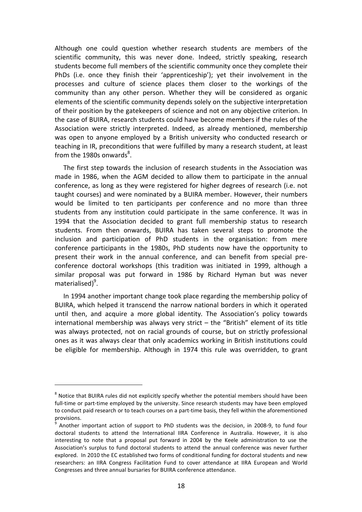Although one could question whether research students are members of the scientific community, this was never done. Indeed, strictly speaking, research students become full members of the scientific community once they complete their PhDs (i.e. once they finish their 'apprenticeship'); yet their involvement in the processes and culture of science places them closer to the workings of the community than any other person. Whether they will be considered as organic elements of the scientific community depends solely on the subjective interpretation of their position by the gatekeepers of science and not on any objective criterion. In the case of BUIRA, research students could have become members if the rules of the Association were strictly interpreted. Indeed, as already mentioned, membership was open to anyone employed by a British university who conducted research or teaching in IR, preconditions that were fulfilled by many a research student, at least from the 1980s onwards ${}^{8}$ .

The first step towards the inclusion of research students in the Association was made in 1986, when the AGM decided to allow them to participate in the annual conference, as long as they were registered for higher degrees of research (i.e. not taught courses) and were nominated by a BUIRA member. However, their numbers would be limited to ten participants per conference and no more than three students from any institution could participate in the same conference. It was in 1994 that the Association decided to grant full membership status to research students. From then onwards, BUIRA has taken several steps to promote the inclusion and participation of PhD students in the organisation: from mere conference participants in the 1980s, PhD students now have the opportunity to present their work in the annual conference, and can benefit from special preconference doctoral workshops (this tradition was initiated in 1999, although a similar proposal was put forward in 1986 by Richard Hyman but was never materialised)<sup>9</sup>.

In 1994 another important change took place regarding the membership policy of BUIRA, which helped it transcend the narrow national borders in which it operated until then, and acquire a more global identity. The Association's policy towards international membership was always very strict – the "British" element of its title was always protected, not on racial grounds of course, but on strictly professional ones as it was always clear that only academics working in British institutions could be eligible for membership. Although in 1974 this rule was overridden, to grant

l

 $8$  Notice that BUIRA rules did not explicitly specify whether the potential members should have been full-time or part-time employed by the university. Since research students may have been employed to conduct paid research or to teach courses on a part-time basis, they fell within the aforementioned provisions.

<sup>&</sup>lt;sup>9</sup> Another important action of support to PhD students was the decision, in 2008-9, to fund four doctoral students to attend the International IIRA Conference in Australia. However, it is also interesting to note that a proposal put forward in 2004 by the Keele administration to use the Association's surplus to fund doctoral students to attend the annual conference was never further explored. In 2010 the EC established two forms of conditional funding for doctoral students and new researchers: an IIRA Congress Facilitation Fund to cover attendance at IIRA European and World Congresses and three annual bursaries for BUIRA conference attendance.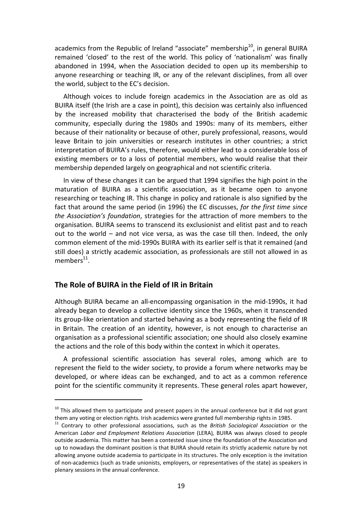academics from the Republic of Ireland "associate" membership $10$ , in general BUIRA remained 'closed' to the rest of the world. This policy of 'nationalism' was finally abandoned in 1994, when the Association decided to open up its membership to anyone researching or teaching IR, or any of the relevant disciplines, from all over the world, subject to the EC's decision.

Although voices to include foreign academics in the Association are as old as BUIRA itself (the Irish are a case in point), this decision was certainly also influenced by the increased mobility that characterised the body of the British academic community, especially during the 1980s and 1990s: many of its members, either because of their nationality or because of other, purely professional, reasons, would leave Britain to join universities or research institutes in other countries; a strict interpretation of BUIRA's rules, therefore, would either lead to a considerable loss of existing members or to a loss of potential members, who would realise that their membership depended largely on geographical and not scientific criteria.

In view of these changes it can be argued that 1994 signifies the high point in the maturation of BUIRA as a scientific association, as it became open to anyone researching or teaching IR. This change in policy and rationale is also signified by the fact that around the same period (in 1996) the EC discusses, *for the first time since the Association's foundation*, strategies for the attraction of more members to the organisation. BUIRA seems to transcend its exclusionist and elitist past and to reach out to the world – and not vice versa, as was the case till then. Indeed, the only common element of the mid-1990s BUIRA with its earlier self is that it remained (and still does) a strictly academic association, as professionals are still not allowed in as  $members<sup>11</sup>$ .

#### **The Role of BUIRA in the Field of IR in Britain**

l

Although BUIRA became an all-encompassing organisation in the mid-1990s, it had already began to develop a collective identity since the 1960s, when it transcended its group-like orientation and started behaving as a body representing the field of IR in Britain. The creation of an identity, however, is not enough to characterise an organisation as a professional scientific association; one should also closely examine the actions and the role of this body within the context in which it operates.

A professional scientific association has several roles, among which are to represent the field to the wider society, to provide a forum where networks may be developed, or where ideas can be exchanged, and to act as a common reference point for the scientific community it represents. These general roles apart however,

 $10$  This allowed them to participate and present papers in the annual conference but it did not grant them any voting or election rights. Irish academics were granted full membership rights in 1985.

<sup>11</sup> Contrary to other professional associations, such as the *British Sociological Association* or the American *Labor and Employment Relations Association* (LERA)*,* BUIRA was always closed to people outside academia. This matter has been a contested issue since the foundation of the Association and up to nowadays the dominant position is that BUIRA should retain its strictly academic nature by not allowing anyone outside academia to participate in its structures. The only exception is the invitation of non-academics (such as trade unionists, employers, or representatives of the state) as speakers in plenary sessions in the annual conference.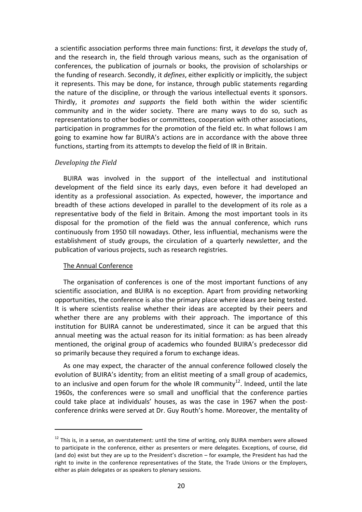a scientific association performs three main functions: first, it *develops* the study of, and the research in, the field through various means, such as the organisation of conferences, the publication of journals or books, the provision of scholarships or the funding of research. Secondly, it *defines*, either explicitly or implicitly, the subject it represents. This may be done, for instance, through public statements regarding the nature of the discipline, or through the various intellectual events it sponsors. Thirdly, it *promotes and supports* the field both within the wider scientific community and in the wider society. There are many ways to do so, such as representations to other bodies or committees, cooperation with other associations, participation in programmes for the promotion of the field etc. In what follows I am going to examine how far BUIRA's actions are in accordance with the above three functions, starting from its attempts to develop the field of IR in Britain.

#### *Developing the Field*

BUIRA was involved in the support of the intellectual and institutional development of the field since its early days, even before it had developed an identity as a professional association. As expected, however, the importance and breadth of these actions developed in parallel to the development of its role as a representative body of the field in Britain. Among the most important tools in its disposal for the promotion of the field was the annual conference, which runs continuously from 1950 till nowadays. Other, less influential, mechanisms were the establishment of study groups, the circulation of a quarterly newsletter, and the publication of various projects, such as research registries.

#### The Annual Conference

l

The organisation of conferences is one of the most important functions of any scientific association, and BUIRA is no exception. Apart from providing networking opportunities, the conference is also the primary place where ideas are being tested. It is where scientists realise whether their ideas are accepted by their peers and whether there are any problems with their approach. The importance of this institution for BUIRA cannot be underestimated, since it can be argued that this annual meeting was the actual reason for its initial formation: as has been already mentioned, the original group of academics who founded BUIRA's predecessor did so primarily because they required a forum to exchange ideas.

As one may expect, the character of the annual conference followed closely the evolution of BUIRA's identity; from an elitist meeting of a small group of academics, to an inclusive and open forum for the whole IR community<sup>12</sup>. Indeed, until the late 1960s, the conferences were so small and unofficial that the conference parties could take place at individuals' houses, as was the case in 1967 when the postconference drinks were served at Dr. Guy Routh's home. Moreover, the mentality of

 $12$  This is, in a sense, an overstatement: until the time of writing, only BUIRA members were allowed to participate in the conference, either as presenters or mere delegates. Exceptions, of course, did (and do) exist but they are up to the President's discretion – for example, the President has had the right to invite in the conference representatives of the State, the Trade Unions or the Employers, either as plain delegates or as speakers to plenary sessions.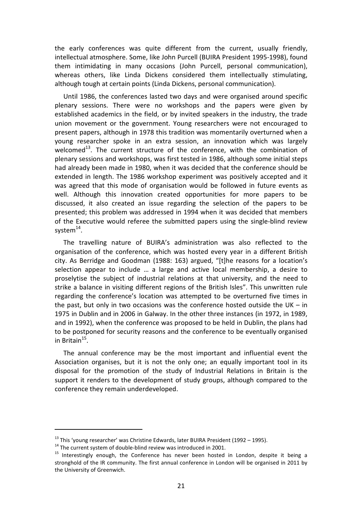the early conferences was quite different from the current, usually friendly, intellectual atmosphere. Some, like John Purcell (BUIRA President 1995-1998), found them intimidating in many occasions (John Purcell, personal communication), whereas others, like Linda Dickens considered them intellectually stimulating, although tough at certain points (Linda Dickens, personal communication).

Until 1986, the conferences lasted two days and were organised around specific plenary sessions. There were no workshops and the papers were given by established academics in the field, or by invited speakers in the industry, the trade union movement or the government. Young researchers were not encouraged to present papers, although in 1978 this tradition was momentarily overturned when a young researcher spoke in an extra session, an innovation which was largely welcomed<sup>13</sup>. The current structure of the conference, with the combination of plenary sessions and workshops, was first tested in 1986, although some initial steps had already been made in 1980, when it was decided that the conference should be extended in length. The 1986 workshop experiment was positively accepted and it was agreed that this mode of organisation would be followed in future events as well. Although this innovation created opportunities for more papers to be discussed, it also created an issue regarding the selection of the papers to be presented; this problem was addressed in 1994 when it was decided that members of the Executive would referee the submitted papers using the single-blind review system $^{14}$ .

The travelling nature of BUIRA's administration was also reflected to the organisation of the conference, which was hosted every year in a different British city. As Berridge and Goodman (1988: 163) argued, "[t]he reasons for a location's selection appear to include … a large and active local membership, a desire to proselytise the subject of industrial relations at that university, and the need to strike a balance in visiting different regions of the British Isles". This unwritten rule regarding the conference's location was attempted to be overturned five times in the past, but only in two occasions was the conference hosted outside the UK – in 1975 in Dublin and in 2006 in Galway. In the other three instances (in 1972, in 1989, and in 1992), when the conference was proposed to be held in Dublin, the plans had to be postponed for security reasons and the conference to be eventually organised in Britain $^{15}$ .

The annual conference may be the most important and influential event the Association organises, but it is not the only one; an equally important tool in its disposal for the promotion of the study of Industrial Relations in Britain is the support it renders to the development of study groups, although compared to the conference they remain underdeveloped.

l

<sup>&</sup>lt;sup>13</sup> This 'young researcher' was Christine Edwards, later BUIRA President (1992 – 1995).

 $14$  The current system of double-blind review was introduced in 2001.

<sup>&</sup>lt;sup>15</sup> Interestingly enough, the Conference has never been hosted in London, despite it being a stronghold of the IR community. The first annual conference in London will be organised in 2011 by the University of Greenwich.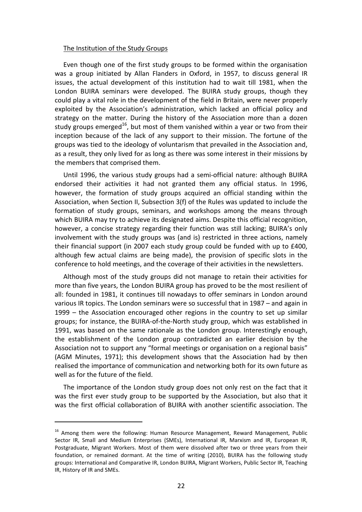#### The Institution of the Study Groups

Even though one of the first study groups to be formed within the organisation was a group initiated by Allan Flanders in Oxford, in 1957, to discuss general IR issues, the actual development of this institution had to wait till 1981, when the London BUIRA seminars were developed. The BUIRA study groups, though they could play a vital role in the development of the field in Britain, were never properly exploited by the Association's administration, which lacked an official policy and strategy on the matter. During the history of the Association more than a dozen study groups emerged<sup>16</sup>, but most of them vanished within a year or two from their inception because of the lack of any support to their mission. The fortune of the groups was tied to the ideology of voluntarism that prevailed in the Association and, as a result, they only lived for as long as there was some interest in their missions by the members that comprised them.

Until 1996, the various study groups had a semi-official nature: although BUIRA endorsed their activities it had not granted them any official status. In 1996, however, the formation of study groups acquired an official standing within the Association, when Section II, Subsection 3(f) of the Rules was updated to include the formation of study groups, seminars, and workshops among the means through which BUIRA may try to achieve its designated aims. Despite this official recognition, however, a concise strategy regarding their function was still lacking; BUIRA's only involvement with the study groups was (and is) restricted in three actions, namely their financial support (in 2007 each study group could be funded with up to £400, although few actual claims are being made), the provision of specific slots in the conference to hold meetings, and the coverage of their activities in the newsletters.

Although most of the study groups did not manage to retain their activities for more than five years, the London BUIRA group has proved to be the most resilient of all: founded in 1981, it continues till nowadays to offer seminars in London around various IR topics. The London seminars were so successful that in 1987 – and again in 1999 – the Association encouraged other regions in the country to set up similar groups; for instance, the BUIRA-of-the-North study group, which was established in 1991, was based on the same rationale as the London group. Interestingly enough, the establishment of the London group contradicted an earlier decision by the Association not to support any "formal meetings or organisation on a regional basis" (AGM Minutes, 1971); this development shows that the Association had by then realised the importance of communication and networking both for its own future as well as for the future of the field.

The importance of the London study group does not only rest on the fact that it was the first ever study group to be supported by the Association, but also that it was the first official collaboration of BUIRA with another scientific association. The

 $\overline{a}$ 

<sup>&</sup>lt;sup>16</sup> Among them were the following: Human Resource Management, Reward Management, Public Sector IR, Small and Medium Enterprises (SMEs), International IR, Marxism and IR, European IR, Postgraduate, Migrant Workers. Most of them were dissolved after two or three years from their foundation, or remained dormant. At the time of writing (2010), BUIRA has the following study groups: International and Comparative IR, London BUIRA, Migrant Workers, Public Sector IR, Teaching IR, History of IR and SMEs.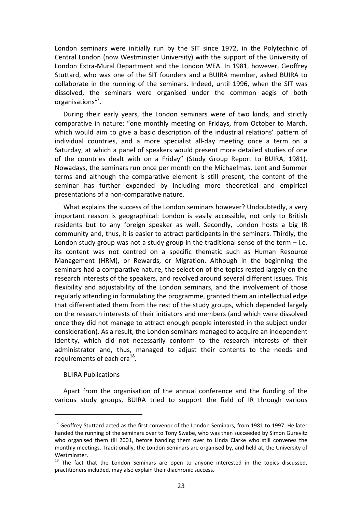London seminars were initially run by the SIT since 1972, in the Polytechnic of Central London (now Westminster University) with the support of the University of London Extra-Mural Department and the London WEA. In 1981, however, Geoffrey Stuttard, who was one of the SIT founders and a BUIRA member, asked BUIRA to collaborate in the running of the seminars. Indeed, until 1996, when the SIT was dissolved, the seminars were organised under the common aegis of both organisations<sup>17</sup>.

During their early years, the London seminars were of two kinds, and strictly comparative in nature: "one monthly meeting on Fridays, from October to March, which would aim to give a basic description of the industrial relations' pattern of individual countries, and a more specialist all-day meeting once a term on a Saturday, at which a panel of speakers would present more detailed studies of one of the countries dealt with on a Friday" (Study Group Report to BUIRA, 1981). Nowadays, the seminars run once per month on the Michaelmas, Lent and Summer terms and although the comparative element is still present, the content of the seminar has further expanded by including more theoretical and empirical presentations of a non-comparative nature.

What explains the success of the London seminars however? Undoubtedly, a very important reason is geographical: London is easily accessible, not only to British residents but to any foreign speaker as well. Secondly, London hosts a big IR community and, thus, it is easier to attract participants in the seminars. Thirdly, the London study group was not a study group in the traditional sense of the term  $-$  i.e. its content was not centred on a specific thematic such as Human Resource Management (HRM), or Rewards, or Migration. Although in the beginning the seminars had a comparative nature, the selection of the topics rested largely on the research interests of the speakers, and revolved around several different issues. This flexibility and adjustability of the London seminars, and the involvement of those regularly attending in formulating the programme, granted them an intellectual edge that differentiated them from the rest of the study groups, which depended largely on the research interests of their initiators and members (and which were dissolved once they did not manage to attract enough people interested in the subject under consideration). As a result, the London seminars managed to acquire an independent identity, which did not necessarily conform to the research interests of their administrator and, thus, managed to adjust their contents to the needs and requirements of each era<sup>18</sup>.

#### BUIRA Publications

l

Apart from the organisation of the annual conference and the funding of the various study groups, BUIRA tried to support the field of IR through various

<sup>&</sup>lt;sup>17</sup> Geoffrey Stuttard acted as the first convenor of the London Seminars, from 1981 to 1997. He later handed the running of the seminars over to Tony Swabe, who was then succeeded by Simon Gurevitz who organised them till 2001, before handing them over to Linda Clarke who still convenes the monthly meetings. Traditionally, the London Seminars are organised by, and held at, the University of Westminster.

 $18$  The fact that the London Seminars are open to anyone interested in the topics discussed, practitioners included, may also explain their diachronic success.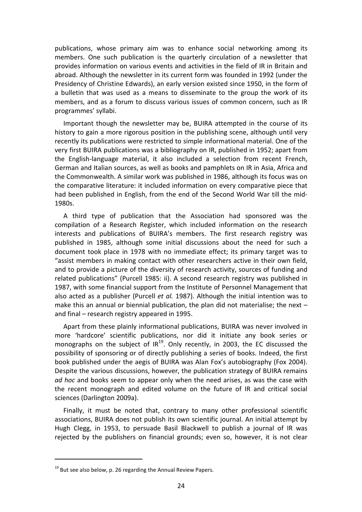publications, whose primary aim was to enhance social networking among its members. One such publication is the quarterly circulation of a newsletter that provides information on various events and activities in the field of IR in Britain and abroad. Although the newsletter in its current form was founded in 1992 (under the Presidency of Christine Edwards), an early version existed since 1950, in the form of a bulletin that was used as a means to disseminate to the group the work of its members, and as a forum to discuss various issues of common concern, such as IR programmes' syllabi.

Important though the newsletter may be, BUIRA attempted in the course of its history to gain a more rigorous position in the publishing scene, although until very recently its publications were restricted to simple informational material. One of the very first BUIRA publications was a bibliography on IR, published in 1952; apart from the English-language material, it also included a selection from recent French, German and Italian sources, as well as books and pamphlets on IR in Asia, Africa and the Commonwealth. A similar work was published in 1986, although its focus was on the comparative literature: it included information on every comparative piece that had been published in English, from the end of the Second World War till the mid-1980s.

A third type of publication that the Association had sponsored was the compilation of a Research Register, which included information on the research interests and publications of BUIRA's members. The first research registry was published in 1985, although some initial discussions about the need for such a document took place in 1978 with no immediate effect; its primary target was to "assist members in making contact with other researchers active in their own field, and to provide a picture of the diversity of research activity, sources of funding and related publications" (Purcell 1985: ii). A second research registry was published in 1987, with some financial support from the Institute of Personnel Management that also acted as a publisher (Purcell *et al.* 1987). Although the initial intention was to make this an annual or biennial publication, the plan did not materialise; the next  $$ and final – research registry appeared in 1995.

Apart from these plainly informational publications, BUIRA was never involved in more 'hardcore' scientific publications, nor did it initiate any book series or monographs on the subject of  $IR^{19}$ . Only recently, in 2003, the EC discussed the possibility of sponsoring or of directly publishing a series of books. Indeed, the first book published under the aegis of BUIRA was Alan Fox's autobiography (Fox 2004). Despite the various discussions, however, the publication strategy of BUIRA remains *ad hoc* and books seem to appear only when the need arises, as was the case with the recent monograph and edited volume on the future of IR and critical social sciences (Darlington 2009a).

Finally, it must be noted that, contrary to many other professional scientific associations, BUIRA does not publish its own scientific journal. An initial attempt by Hugh Clegg, in 1953, to persuade Basil Blackwell to publish a journal of IR was rejected by the publishers on financial grounds; even so, however, it is not clear

 $\overline{a}$ 

 $19$  But see also below, p. 26 regarding the Annual Review Papers.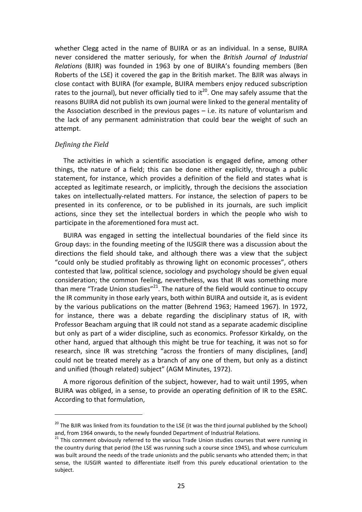whether Clegg acted in the name of BUIRA or as an individual. In a sense, BUIRA never considered the matter seriously, for when the *British Journal of Industrial Relations* (BJIR) was founded in 1963 by one of BUIRA's founding members (Ben Roberts of the LSE) it covered the gap in the British market. The BJIR was always in close contact with BUIRA (for example, BUIRA members enjoy reduced subscription rates to the journal), but never officially tied to it<sup>20</sup>. One may safely assume that the reasons BUIRA did not publish its own journal were linked to the general mentality of the Association described in the previous pages – i.e. its nature of voluntarism and the lack of any permanent administration that could bear the weight of such an attempt.

#### *Defining the Field*

l

The activities in which a scientific association is engaged define, among other things, the nature of a field; this can be done either explicitly, through a public statement, for instance, which provides a definition of the field and states what is accepted as legitimate research, or implicitly, through the decisions the association takes on intellectually-related matters. For instance, the selection of papers to be presented in its conference, or to be published in its journals, are such implicit actions, since they set the intellectual borders in which the people who wish to participate in the aforementioned fora must act.

BUIRA was engaged in setting the intellectual boundaries of the field since its Group days: in the founding meeting of the IUSGIR there was a discussion about the directions the field should take, and although there was a view that the subject "could only be studied profitably as throwing light on economic processes", others contested that law, political science, sociology and psychology should be given equal consideration; the common feeling, nevertheless, was that IR was something more than mere "Trade Union studies" $^{21}$ . The nature of the field would continue to occupy the IR community in those early years, both within BUIRA and outside it, as is evident by the various publications on the matter (Behrend 1963; Hameed 1967). In 1972, for instance, there was a debate regarding the disciplinary status of IR, with Professor Beacham arguing that IR could not stand as a separate academic discipline but only as part of a wider discipline, such as economics. Professor Kirkaldy, on the other hand, argued that although this might be true for teaching, it was not so for research, since IR was stretching "across the frontiers of many disciplines, [and] could not be treated merely as a branch of any one of them, but only as a distinct and unified (though related) subject" (AGM Minutes, 1972).

A more rigorous definition of the subject, however, had to wait until 1995, when BUIRA was obliged, in a sense, to provide an operating definition of IR to the ESRC. According to that formulation,

 $20$  The BJIR was linked from its foundation to the LSE (it was the third journal published by the School) and, from 1964 onwards, to the newly founded Department of Industrial Relations.

 $21$  This comment obviously referred to the various Trade Union studies courses that were running in the country during that period (the LSE was running such a course since 1945), and whose curriculum was built around the needs of the trade unionists and the public servants who attended them; in that sense, the IUSGIR wanted to differentiate itself from this purely educational orientation to the subject.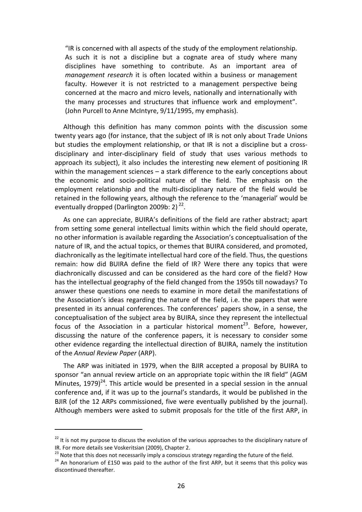"IR is concerned with all aspects of the study of the employment relationship. As such it is not a discipline but a cognate area of study where many disciplines have something to contribute. As an important area of *management research* it is often located within a business or management faculty. However it is not restricted to a management perspective being concerned at the macro and micro levels, nationally and internationally with the many processes and structures that influence work and employment". (John Purcell to Anne McIntyre, 9/11/1995, my emphasis).

Although this definition has many common points with the discussion some twenty years ago (for instance, that the subject of IR is not only about Trade Unions but studies the employment relationship, or that IR is not a discipline but a crossdisciplinary and inter-disciplinary field of study that uses various methods to approach its subject), it also includes the interesting new element of positioning IR within the management sciences – a stark difference to the early conceptions about the economic and socio-political nature of the field. The emphasis on the employment relationship and the multi-disciplinary nature of the field would be retained in the following years, although the reference to the 'managerial' would be eventually dropped (Darlington 2009b: 2) $^{22}$ .

As one can appreciate, BUIRA's definitions of the field are rather abstract; apart from setting some general intellectual limits within which the field should operate, no other information is available regarding the Association's conceptualisation of the nature of IR, and the actual topics, or themes that BUIRA considered, and promoted, diachronically as the legitimate intellectual hard core of the field. Thus, the questions remain: how did BUIRA define the field of IR? Were there any topics that were diachronically discussed and can be considered as the hard core of the field? How has the intellectual geography of the field changed from the 1950s till nowadays? To answer these questions one needs to examine in more detail the manifestations of the Association's ideas regarding the nature of the field, i.e. the papers that were presented in its annual conferences. The conferences' papers show, in a sense, the conceptualisation of the subject area by BUIRA, since they represent the intellectual focus of the Association in a particular historical moment<sup>23</sup>. Before, however, discussing the nature of the conference papers, it is necessary to consider some other evidence regarding the intellectual direction of BUIRA, namely the institution of the *Annual Review Paper* (ARP).

The ARP was initiated in 1979, when the BJIR accepted a proposal by BUIRA to sponsor "an annual review article on an appropriate topic within the IR field" (AGM Minutes,  $1979)^{24}$ . This article would be presented in a special session in the annual conference and, if it was up to the journal's standards, it would be published in the BJIR (of the 12 ARPs commissioned, five were eventually published by the journal). Although members were asked to submit proposals for the title of the first ARP, in

l

 $22$  It is not my purpose to discuss the evolution of the various approaches to the disciplinary nature of IR. For more details see Voskeritsian (2009), Chapter 2.

<sup>&</sup>lt;sup>23</sup> Note that this does not necessarily imply a conscious strategy regarding the future of the field.

<sup>&</sup>lt;sup>24</sup> An honorarium of £150 was paid to the author of the first ARP, but it seems that this policy was discontinued thereafter.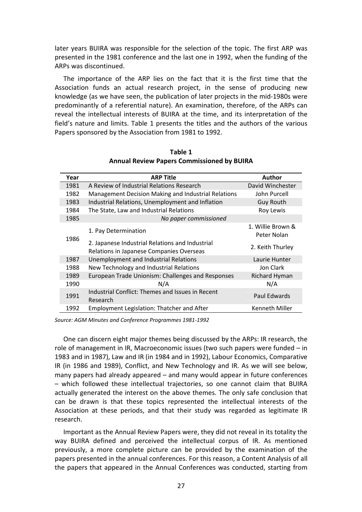later years BUIRA was responsible for the selection of the topic. The first ARP was presented in the 1981 conference and the last one in 1992, when the funding of the ARPs was discontinued.

The importance of the ARP lies on the fact that it is the first time that the Association funds an actual research project, in the sense of producing new knowledge (as we have seen, the publication of later projects in the mid-1980s were predominantly of a referential nature). An examination, therefore, of the ARPs can reveal the intellectual interests of BUIRA at the time, and its interpretation of the field's nature and limits. Table 1 presents the titles and the authors of the various Papers sponsored by the Association from 1981 to 1992.

| Year | <b>ARP Title</b>                                                                            | Author                           |
|------|---------------------------------------------------------------------------------------------|----------------------------------|
| 1981 | A Review of Industrial Relations Research                                                   | David Winchester                 |
| 1982 | Management Decision Making and Industrial Relations                                         | John Purcell                     |
| 1983 | Industrial Relations, Unemployment and Inflation                                            | <b>Guy Routh</b>                 |
| 1984 | The State, Law and Industrial Relations                                                     | Roy Lewis                        |
| 1985 | No paper commissioned                                                                       |                                  |
|      | 1. Pay Determination                                                                        | 1. Willie Brown &<br>Peter Nolan |
| 1986 | 2. Japanese Industrial Relations and Industrial<br>Relations in Japanese Companies Overseas | 2. Keith Thurley                 |
| 1987 | Unemployment and Industrial Relations                                                       | Laurie Hunter                    |
| 1988 | New Technology and Industrial Relations                                                     | Jon Clark                        |
| 1989 | European Trade Unionism: Challenges and Responses                                           | Richard Hyman                    |
| 1990 | N/A                                                                                         | N/A                              |
| 1991 | Industrial Conflict: Themes and Issues in Recent<br>Research                                | Paul Edwards                     |
| 1992 | <b>Employment Legislation: Thatcher and After</b>                                           | Kenneth Miller                   |

**Table 1 Annual Review Papers Commissioned by BUIRA** 

*Source: AGM Minutes and Conference Programmes 1981-1992* 

One can discern eight major themes being discussed by the ARPs: IR research, the role of management in IR, Macroeconomic issues (two such papers were funded – in 1983 and in 1987), Law and IR (in 1984 and in 1992), Labour Economics, Comparative IR (in 1986 and 1989), Conflict, and New Technology and IR. As we will see below, many papers had already appeared – and many would appear in future conferences – which followed these intellectual trajectories, so one cannot claim that BUIRA actually generated the interest on the above themes. The only safe conclusion that can be drawn is that these topics represented the intellectual interests of the Association at these periods, and that their study was regarded as legitimate IR research.

Important as the Annual Review Papers were, they did not reveal in its totality the way BUIRA defined and perceived the intellectual corpus of IR. As mentioned previously, a more complete picture can be provided by the examination of the papers presented in the annual conferences. For this reason, a Content Analysis of all the papers that appeared in the Annual Conferences was conducted, starting from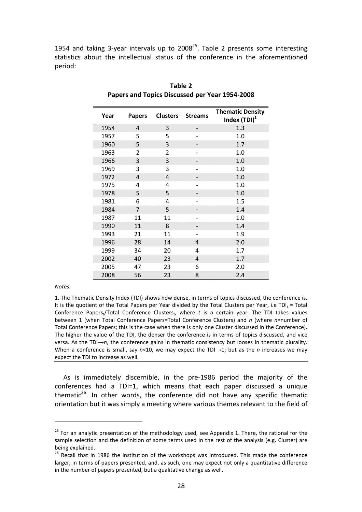1954 and taking 3-year intervals up to  $2008^{25}$ . Table 2 presents some interesting statistics about the intellectual status of the conference in the aforementioned period:

| Year | <b>Papers</b>  | <b>Clusters</b> | <b>Streams</b> | <b>Thematic Density</b><br>Index (TDI) <sup>1</sup> |
|------|----------------|-----------------|----------------|-----------------------------------------------------|
| 1954 | 4              | 3               |                | 1.3                                                 |
| 1957 | 5              | 5               |                | 1.0                                                 |
| 1960 | 5              | 3               |                | 1.7                                                 |
| 1963 | 2              | 2               |                | 1.0                                                 |
| 1966 | 3              | 3               |                | 1.0                                                 |
| 1969 | 3              | 3               |                | 1.0                                                 |
| 1972 | 4              | $\overline{4}$  |                | 1.0                                                 |
| 1975 | 4              | 4               |                | 1.0                                                 |
| 1978 | 5              | 5               |                | 1.0                                                 |
| 1981 | 6              | 4               |                | 1.5                                                 |
| 1984 | $\overline{7}$ | 5               |                | 1.4                                                 |
| 1987 | 11             | 11              |                | 1.0                                                 |
| 1990 | 11             | 8               |                | 1.4                                                 |
| 1993 | 21             | 11              |                | 1.9                                                 |
| 1996 | 28             | 14              | 4              | 2.0                                                 |
| 1999 | 34             | 20              | 4              | 1.7                                                 |
| 2002 | 40             | 23              | $\overline{4}$ | 1.7                                                 |
| 2005 | 47             | 23              | 6              | 2.0                                                 |
| 2008 | 56             | 23              | 8              | 2.4                                                 |

**Table 2 Papers and Topics Discussed per Year 1954-2008** 

*Notes:* 

 $\overline{a}$ 

1. The Thematic Density Index (TDI) shows how dense, in terms of topics discussed, the conference is. It is the quotient of the Total Papers per Year divided by the Total Clusters per Year, i.e TDI $<sub>t</sub>$  = Total</sub> Conference Papers<sub>t</sub>/Total Conference Clusters<sub>t</sub>, where t is a certain year. The TDI takes values between 1 (when Total Conference Papers=Total Conference Clusters) and *n* (where *n*=number of Total Conference Papers; this is the case when there is only one Cluster discussed in the Conference). The higher the value of the TDI, the denser the conference is in terms of topics discussed, and vice versa. As the TDI→*n*, the conference gains in thematic consistency but looses in thematic plurality. When a conference is small, say  $n$ <10, we may expect the TDI→1; but as the *n* increases we may expect the TDI to increase as well.

As is immediately discernible, in the pre-1986 period the majority of the conferences had a TDI=1, which means that each paper discussed a unique thematic $26$ . In other words, the conference did not have any specific thematic orientation but it was simply a meeting where various themes relevant to the field of

 $25$  For an analytic presentation of the methodology used, see Appendix 1. There, the rational for the sample selection and the definition of some terms used in the rest of the analysis (e.g. Cluster) are being explained.

<sup>&</sup>lt;sup>26</sup> Recall that in 1986 the institution of the workshops was introduced. This made the conference larger, in terms of papers presented, and, as such, one may expect not only a quantitative difference in the number of papers presented, but a qualitative change as well.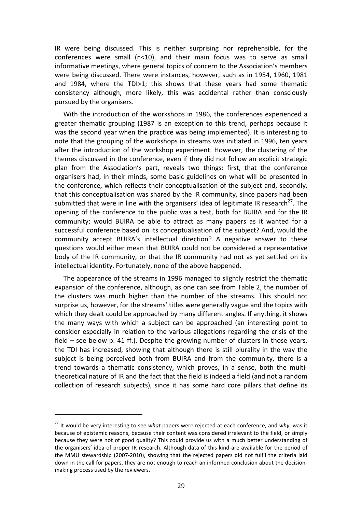IR were being discussed. This is neither surprising nor reprehensible, for the conferences were small (n<10), and their main focus was to serve as small informative meetings, where general topics of concern to the Association's members were being discussed. There were instances, however, such as in 1954, 1960, 1981 and 1984, where the TDI>1; this shows that these years had some thematic consistency although, more likely, this was accidental rather than consciously pursued by the organisers.

With the introduction of the workshops in 1986, the conferences experienced a greater thematic grouping (1987 is an exception to this trend, perhaps because it was the second year when the practice was being implemented). It is interesting to note that the grouping of the workshops in streams was initiated in 1996, ten years after the introduction of the workshop experiment. However, the clustering of the themes discussed in the conference, even if they did not follow an explicit strategic plan from the Association's part, reveals two things: first, that the conference organisers had, in their minds, some basic guidelines on what will be presented in the conference, which reflects their conceptualisation of the subject and, secondly, that this conceptualisation was shared by the IR community, since papers had been submitted that were in line with the organisers' idea of legitimate IR research<sup>27</sup>. The opening of the conference to the public was a test, both for BUIRA and for the IR community: would BUIRA be able to attract as many papers as it wanted for a successful conference based on its conceptualisation of the subject? And, would the community accept BUIRA's intellectual direction? A negative answer to these questions would either mean that BUIRA could not be considered a representative body of the IR community, or that the IR community had not as yet settled on its intellectual identity. Fortunately, none of the above happened.

The appearance of the streams in 1996 managed to slightly restrict the thematic expansion of the conference, although, as one can see from Table 2, the number of the clusters was much higher than the number of the streams. This should not surprise us, however, for the streams' titles were generally vague and the topics with which they dealt could be approached by many different angles. If anything, it shows the many ways with which a subject can be approached (an interesting point to consider especially in relation to the various allegations regarding the crisis of the field – see below p. 41 ff.). Despite the growing number of clusters in those years, the TDI has increased, showing that although there is still plurality in the way the subject is being perceived both from BUIRA and from the community, there is a trend towards a thematic consistency, which proves, in a sense, both the multitheoretical nature of IR and the fact that the field is indeed a field (and not a random collection of research subjects), since it has some hard core pillars that define its

l

<sup>27</sup> It would be very interesting to see *what* papers were rejected at each conference, and *why*: was it because of epistemic reasons, because their content was considered irrelevant to the field, or simply because they were not of good quality? This could provide us with a much better understanding of the organisers' idea of proper IR research. Although data of this kind are available for the period of the MMU stewardship (2007-2010), showing that the rejected papers did not fulfil the criteria laid down in the call for papers, they are not enough to reach an informed conclusion about the decisionmaking process used by the reviewers.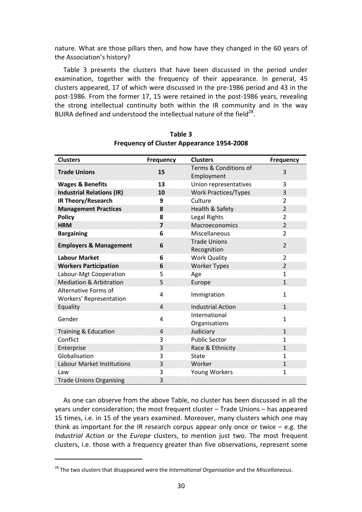nature. What are those pillars then, and how have they changed in the 60 years of the Association's history?

Table 3 presents the clusters that have been discussed in the period under examination, together with the frequency of their appearance. In general, 45 clusters appeared, 17 of which were discussed in the pre-1986 period and 43 in the post-1986. From the former 17, 15 were retained in the post-1986 years, revealing the strong intellectual continuity both within the IR community and in the way BUIRA defined and understood the intellectual nature of the field<sup>28</sup>.

| <b>Clusters</b>                                 | <b>Frequency</b> | <b>Clusters</b>                     | <b>Frequency</b> |
|-------------------------------------------------|------------------|-------------------------------------|------------------|
| <b>Trade Unions</b>                             | 15               | Terms & Conditions of<br>Employment | 3                |
| <b>Wages &amp; Benefits</b>                     | 13               | Union representatives               | 3                |
| <b>Industrial Relations (IR)</b>                | 10               | <b>Work Practices/Types</b>         | 3                |
| IR Theory/Research                              | 9                | Culture                             | $\overline{2}$   |
| <b>Management Practices</b>                     | 8                | Health & Safety                     | $\overline{2}$   |
| <b>Policy</b>                                   | 8                | Legal Rights                        | $\overline{2}$   |
| <b>HRM</b>                                      | $\overline{7}$   | Macroeconomics                      | $\overline{2}$   |
| <b>Bargaining</b>                               | 6                | Miscellaneous                       | $\overline{2}$   |
| <b>Employers &amp; Management</b>               | 6                | <b>Trade Unions</b><br>Recognition  | $\overline{2}$   |
| <b>Labour Market</b>                            | 6                | <b>Work Quality</b>                 | 2                |
| <b>Workers Participation</b>                    | 6                | <b>Worker Types</b>                 | $\overline{2}$   |
| Labour-Mgt Cooperation                          | 5                | Age                                 | $\mathbf{1}$     |
| <b>Mediation &amp; Arbitration</b>              | 5                | Europe                              | $\mathbf{1}$     |
| Alternative Forms of<br>Workers' Representation | 4                | Immigration                         | $\mathbf{1}$     |
| Equality                                        | $\overline{4}$   | <b>Industrial Action</b>            | $\mathbf{1}$     |
| Gender                                          | 4                | International<br>Organisations      | $\mathbf{1}$     |
| Training & Education                            | $\overline{4}$   | Judiciary                           | $\mathbf{1}$     |
| Conflict                                        | 3                | <b>Public Sector</b>                | $\mathbf{1}$     |
| Enterprise                                      | 3                | Race & Ethnicity                    | $\mathbf{1}$     |
| Globalisation                                   | 3                | State                               | $\mathbf{1}$     |
| <b>Labour Market Institutions</b>               | 3                | Worker                              | $\mathbf{1}$     |
| Law                                             | 3                | <b>Young Workers</b>                | $\mathbf{1}$     |
| <b>Trade Unions Organising</b>                  | 3                |                                     |                  |

#### **Table 3 Frequency of Cluster Appearance 1954-2008**

As one can observe from the above Table, no cluster has been discussed in all the years under consideration; the most frequent cluster – Trade Unions – has appeared 15 times, i.e. in 15 of the years examined. Moreover, many clusters which one may think as important for the IR research corpus appear only once or twice  $-$  e.g. the *Industrial Action* or the *Europe* clusters, to mention just two. The most frequent clusters, i.e. those with a frequency greater than five observations, represent some

 $\overline{a}$ 

<sup>28</sup> The two clusters that disappeared were the *International Organisation* and the *Miscellaneous*.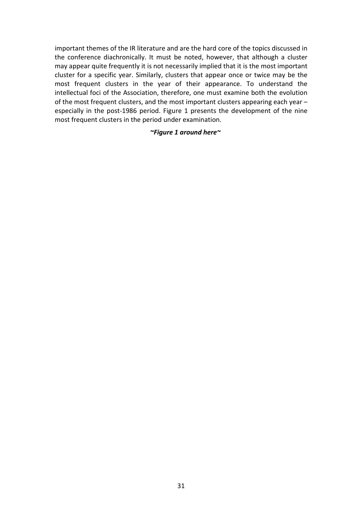important themes of the IR literature and are the hard core of the topics discussed in the conference diachronically. It must be noted, however, that although a cluster may appear quite frequently it is not necessarily implied that it is the most important cluster for a specific year. Similarly, clusters that appear once or twice may be the most frequent clusters in the year of their appearance. To understand the intellectual foci of the Association, therefore, one must examine both the evolution of the most frequent clusters, and the most important clusters appearing each year – especially in the post-1986 period. Figure 1 presents the development of the nine most frequent clusters in the period under examination.

#### *~Figure 1 around here~*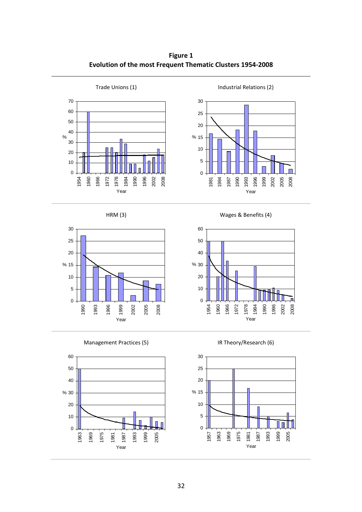**Figure 1 Evolution of the most Frequent Thematic Clusters 1954-2008** 







Management Practices (5) Management Practices (5) Solution (6)



HRM (3) Wages & Benefits (4)



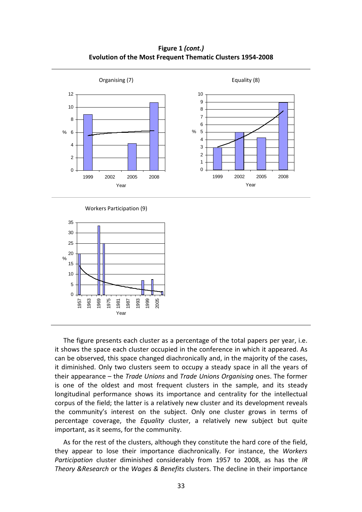**Figure 1** *(cont.)* **Evolution of the Most Frequent Thematic Clusters 1954-2008** 



The figure presents each cluster as a percentage of the total papers per year, i.e. it shows the space each cluster occupied in the conference in which it appeared. As can be observed, this space changed diachronically and, in the majority of the cases, it diminished. Only two clusters seem to occupy a steady space in all the years of their appearance – the *Trade Unions* and *Trade Unions Organising* ones. The former is one of the oldest and most frequent clusters in the sample, and its steady longitudinal performance shows its importance and centrality for the intellectual corpus of the field; the latter is a relatively new cluster and its development reveals the community's interest on the subject. Only one cluster grows in terms of percentage coverage, the *Equality* cluster, a relatively new subject but quite important, as it seems, for the community.

As for the rest of the clusters, although they constitute the hard core of the field, they appear to lose their importance diachronically. For instance, the *Workers Participation* cluster diminished considerably from 1957 to 2008, as has the *IR Theory &Research* or the *Wages & Benefits* clusters. The decline in their importance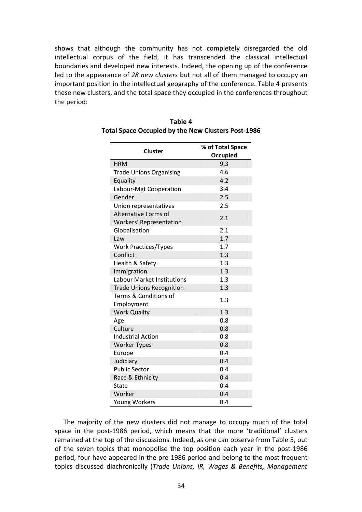shows that although the community has not completely disregarded the old intellectual corpus of the field, it has transcended the classical intellectual boundaries and developed new interests. Indeed, the opening up of the conference led to the appearance of *28 new clusters* but not all of them managed to occupy an important position in the intellectual geography of the conference. Table 4 presents these new clusters, and the total space they occupied in the conferences throughout the period:

| <b>Cluster</b>                    | % of Total Space |
|-----------------------------------|------------------|
|                                   | <b>Occupied</b>  |
| <b>HRM</b>                        | 9.3              |
| <b>Trade Unions Organising</b>    | 4.6              |
| Equality                          | 4.2              |
| Labour-Mgt Cooperation            | 3.4              |
| Gender                            | 2.5              |
| Union representatives             | 2.5              |
| Alternative Forms of              |                  |
| <b>Workers' Representation</b>    | 2.1              |
| Globalisation                     | 2.1              |
| Law                               | 1.7              |
| <b>Work Practices/Types</b>       | 1.7              |
| Conflict                          | 1.3              |
| Health & Safety                   | 1.3              |
| Immigration                       | 1.3              |
| <b>Labour Market Institutions</b> | 1.3              |
| <b>Trade Unions Recognition</b>   | 1.3              |
| Terms & Conditions of             | 1.3              |
| Employment                        |                  |
| <b>Work Quality</b>               | 1.3              |
| Age                               | 0.8              |
| Culture                           | 0.8              |
| <b>Industrial Action</b>          | 0.8              |
| <b>Worker Types</b>               | 0.8              |
| Europe                            | 0.4              |
| Judiciary                         | 0.4              |
| <b>Public Sector</b>              | 0.4              |
| Race & Ethnicity                  | 0.4              |
| State                             | 0.4              |
| Worker                            | 0.4              |
| Young Workers                     | 0.4              |

| Table 4                                            |
|----------------------------------------------------|
| Total Space Occupied by the New Clusters Post-1986 |

The majority of the new clusters did not manage to occupy much of the total space in the post-1986 period, which means that the more 'traditional' clusters remained at the top of the discussions. Indeed, as one can observe from Table 5, out of the seven topics that monopolise the top position each year in the post-1986 period, four have appeared in the pre-1986 period and belong to the most frequent topics discussed diachronically (*Trade Unions, IR, Wages & Benefits, Management*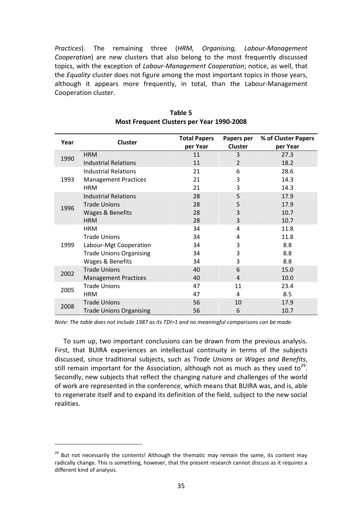*Practices*). The remaining three (*HRM, Organising, Labour-Management Cooperation*) are new clusters that also belong to the most frequently discussed topics, with the exception of *Labour-Management Cooperation*; notice, as well, that the *Equality* cluster does not figure among the most important topics in those years, although it appears more frequently, in total, than the Labour-Management Cooperation cluster.

| Year | <b>Cluster</b>                 | <b>Total Papers</b><br>per Year | Papers per<br><b>Cluster</b> | % of Cluster Papers<br>per Year |
|------|--------------------------------|---------------------------------|------------------------------|---------------------------------|
|      | <b>HRM</b>                     | 11                              | 3                            | 27.3                            |
| 1990 | <b>Industrial Relations</b>    | 11                              | $\overline{2}$               | 18.2                            |
|      | <b>Industrial Relations</b>    | 21                              | 6                            | 28.6                            |
| 1993 | <b>Management Practices</b>    | 21                              | 3                            | 14.3                            |
|      | <b>HRM</b>                     | 21                              | 3                            | 14.3                            |
|      | <b>Industrial Relations</b>    | 28                              | 5                            | 17.9                            |
| 1996 | <b>Trade Unions</b>            | 28                              | 5                            | 17.9                            |
|      | Wages & Benefits               | 28                              | 3                            | 10.7                            |
|      | <b>HRM</b>                     | 28                              | 3                            | 10.7                            |
|      | <b>HRM</b>                     | 34                              | 4                            | 11.8                            |
|      | <b>Trade Unions</b>            | 34                              | 4                            | 11.8                            |
| 1999 | Labour-Mgt Cooperation         | 34                              | 3                            | 8.8                             |
|      | <b>Trade Unions Organising</b> | 34                              | 3                            | 8.8                             |
|      | Wages & Benefits               | 34                              | 3                            | 8.8                             |
| 2002 | <b>Trade Unions</b>            | 40                              | 6                            | 15.0                            |
|      | <b>Management Practices</b>    | 40                              | 4                            | 10.0                            |
| 2005 | <b>Trade Unions</b>            | 47                              | 11                           | 23.4                            |
|      | <b>HRM</b>                     | 47                              | 4                            | 8.5                             |
|      | <b>Trade Unions</b>            | 56                              | 10                           | 17.9                            |
| 2008 | <b>Trade Unions Organising</b> | 56                              | 6                            | 10.7                            |

**Table 5 Most Frequent Clusters per Year 1990-2008** 

*Note: The table does not include 1987 as its TDI=1 and no meaningful comparisons can be made.* 

To sum up, two important conclusions can be drawn from the previous analysis. First, that BUIRA experiences an intellectual continuity in terms of the subjects discussed, since traditional subjects, such as *Trade Unions* or *Wages and Benefits*, still remain important for the Association, although not as much as they used to<sup>29</sup>. Secondly, new subjects that reflect the changing nature and challenges of the world of work are represented in the conference, which means that BUIRA was, and is, able to regenerate itself and to expand its definition of the field, subject to the new social realities.

l

 $29$  But not necessarily the contents! Although the thematic may remain the same, its content may radically change. This is something, however, that the present research cannot discuss as it requires a different kind of analysis.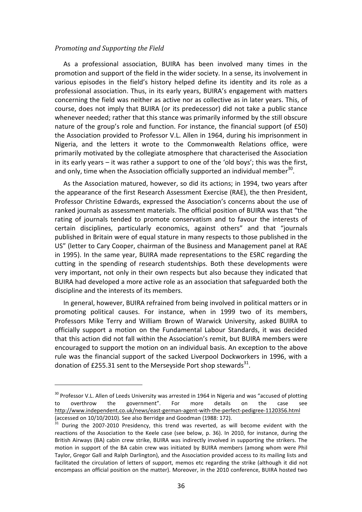#### *Promoting and Supporting the Field*

l

As a professional association, BUIRA has been involved many times in the promotion and support of the field in the wider society. In a sense, its involvement in various episodes in the field's history helped define its identity and its role as a professional association. Thus, in its early years, BUIRA's engagement with matters concerning the field was neither as active nor as collective as in later years. This, of course, does not imply that BUIRA (or its predecessor) did not take a public stance whenever needed; rather that this stance was primarily informed by the still obscure nature of the group's role and function. For instance, the financial support (of £50) the Association provided to Professor V.L. Allen in 1964, during his imprisonment in Nigeria, and the letters it wrote to the Commonwealth Relations office, were primarily motivated by the collegiate atmosphere that characterised the Association in its early years – it was rather a support to one of the 'old boys'; this was the first, and only, time when the Association officially supported an individual member<sup>30</sup>.

As the Association matured, however, so did its actions; in 1994, two years after the appearance of the first Research Assessment Exercise (RAE), the then President, Professor Christine Edwards, expressed the Association's concerns about the use of ranked journals as assessment materials. The official position of BUIRA was that "the rating of journals tended to promote conservatism and to favour the interests of certain disciplines, particularly economics, against others" and that "journals published in Britain were of equal stature in many respects to those published in the US" (letter to Cary Cooper, chairman of the Business and Management panel at RAE in 1995). In the same year, BUIRA made representations to the ESRC regarding the cutting in the spending of research studentships. Both these developments were very important, not only in their own respects but also because they indicated that BUIRA had developed a more active role as an association that safeguarded both the discipline and the interests of its members.

In general, however, BUIRA refrained from being involved in political matters or in promoting political causes. For instance, when in 1999 two of its members, Professors Mike Terry and William Brown of Warwick University, asked BUIRA to officially support a motion on the Fundamental Labour Standards, it was decided that this action did not fall within the Association's remit, but BUIRA members were encouraged to support the motion on an individual basis. An exception to the above rule was the financial support of the sacked Liverpool Dockworkers in 1996, with a donation of £255.31 sent to the Merseyside Port shop stewards<sup>31</sup>.

<sup>&</sup>lt;sup>30</sup> Professor V.L. Allen of Leeds University was arrested in 1964 in Nigeria and was "accused of plotting to overthrow the government". For more details on the case see http://www.independent.co.uk/news/east-german-agent-with-the-perfect-pedigree-1120356.html (accessed on 10/10/2010). See also Berridge and Goodman (1988: 172).

 $31$  During the 2007-2010 Presidency, this trend was reverted, as will become evident with the reactions of the Association to the Keele case (see below, p. 36). In 2010, for instance, during the British Airways (BA) cabin crew strike, BUIRA was indirectly involved in supporting the strikers. The motion in support of the BA cabin crew was initiated by BUIRA members (among whom were Phil Taylor, Gregor Gall and Ralph Darlington), and the Association provided access to its mailing lists and facilitated the circulation of letters of support, memos etc regarding the strike (although it did not encompass an official position on the matter). Moreover, in the 2010 conference, BUIRA hosted two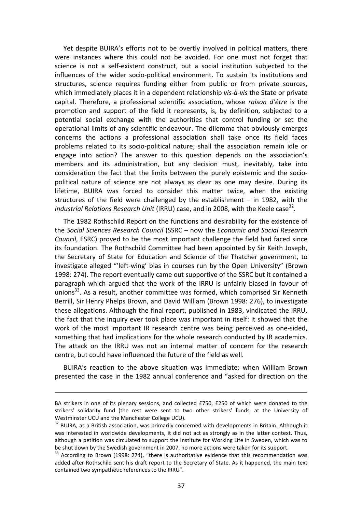Yet despite BUIRA's efforts not to be overtly involved in political matters, there were instances where this could not be avoided. For one must not forget that science is not a self-existent construct, but a social institution subjected to the influences of the wider socio-political environment. To sustain its institutions and structures, science requires funding either from public or from private sources, which immediately places it in a dependent relationship *vis-à-vis* the State or private capital. Therefore, a professional scientific association, whose *raison d'être* is the promotion and support of the field it represents, is, by definition, subjected to a potential social exchange with the authorities that control funding or set the operational limits of any scientific endeavour. The dilemma that obviously emerges concerns the actions a professional association shall take once its field faces problems related to its socio-political nature; shall the association remain idle or engage into action? The answer to this question depends on the association's members and its administration, but any decision must, inevitably, take into consideration the fact that the limits between the purely epistemic and the sociopolitical nature of science are not always as clear as one may desire. During its lifetime, BUIRA was forced to consider this matter twice, when the existing structures of the field were challenged by the establishment – in 1982, with the Industrial Relations Research Unit (IRRU) case, and in 2008, with the Keele case<sup>32</sup>.

The 1982 Rothschild Report on the functions and desirability for the existence of the *Social Sciences Research Council* (SSRC – now the *Economic and Social Research Council*, ESRC) proved to be the most important challenge the field had faced since its foundation. The Rothschild Committee had been appointed by Sir Keith Joseph, the Secretary of State for Education and Science of the Thatcher government, to investigate alleged "'left-wing' bias in courses run by the Open University" (Brown 1998: 274). The report eventually came out supportive of the SSRC but it contained a paragraph which argued that the work of the IRRU is unfairly biased in favour of unions<sup>33</sup>. As a result, another committee was formed, which comprised Sir Kenneth Berrill, Sir Henry Phelps Brown, and David William (Brown 1998: 276), to investigate these allegations. Although the final report, published in 1983, vindicated the IRRU, the fact that the inquiry ever took place was important in itself: it showed that the work of the most important IR research centre was being perceived as one-sided, something that had implications for the whole research conducted by IR academics. The attack on the IRRU was not an internal matter of concern for the research centre, but could have influenced the future of the field as well.

BUIRA's reaction to the above situation was immediate: when William Brown presented the case in the 1982 annual conference and "asked for direction on the

l

BA strikers in one of its plenary sessions, and collected £750, £250 of which were donated to the strikers' solidarity fund (the rest were sent to two other strikers' funds, at the University of Westminster UCU and the Manchester College UCU).

<sup>&</sup>lt;sup>32</sup> BUIRA, as a British association, was primarily concerned with developments in Britain. Although it was interested in worldwide developments, it did not act as strongly as in the latter context. Thus, although a petition was circulated to support the Institute for Working Life in Sweden, which was to be shut down by the Swedish government in 2007, no more actions were taken for its support.

<sup>&</sup>lt;sup>33</sup> According to Brown (1998: 274), "there is authoritative evidence that this recommendation was added after Rothschild sent his draft report to the Secretary of State. As it happened, the main text contained two sympathetic references to the IRRU".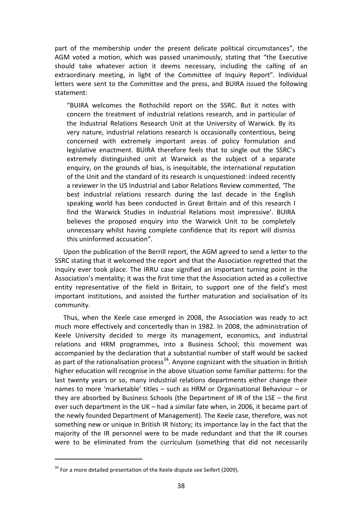part of the membership under the present delicate political circumstances", the AGM voted a motion, which was passed unanimously, stating that "the Executive should take whatever action it deems necessary, including the calling of an extraordinary meeting, in light of the Committee of Inquiry Report". Individual letters were sent to the Committee and the press, and BUIRA issued the following statement:

"BUIRA welcomes the Rothschild report on the SSRC. But it notes with concern the treatment of industrial relations research, and in particular of the Industrial Relations Research Unit at the University of Warwick. By its very nature, industrial relations research is occasionally contentious, being concerned with extremely important areas of policy formulation and legislative enactment. BUIRA therefore feels that to single out the SSRC's extremely distinguished unit at Warwick as the subject of a separate enquiry, on the grounds of bias, is inequitable, the international reputation of the Unit and the standard of its research is unquestioned: indeed recently a reviewer in the US Industrial and Labor Relations Review commented, 'The best industrial relations research during the last decade in the English speaking world has been conducted in Great Britain and of this research I find the Warwick Studies in Industrial Relations most impressive'. BUIRA believes the proposed enquiry into the Warwick Unit to be completely unnecessary whilst having complete confidence that its report will dismiss this uninformed accusation".

Upon the publication of the Berrill report, the AGM agreed to send a letter to the SSRC stating that it welcomed the report and that the Association regretted that the inquiry ever took place. The IRRU case signified an important turning point in the Association's mentality; it was the first time that the Association acted as a collective entity representative of the field in Britain, to support one of the field's most important institutions, and assisted the further maturation and socialisation of its community.

Thus, when the Keele case emerged in 2008, the Association was ready to act much more effectively and concertedly than in 1982. In 2008, the administration of Keele University decided to merge its management, economics, and industrial relations and HRM programmes, into a Business School; this movement was accompanied by the declaration that a substantial number of staff would be sacked as part of the rationalisation process<sup>34</sup>. Anyone cognizant with the situation in British higher education will recognise in the above situation some familiar patterns: for the last twenty years or so, many industrial relations departments either change their names to more 'marketable' titles – such as HRM or Organisational Behaviour – or they are absorbed by Business Schools (the Department of IR of the LSE – the first ever such department in the UK – had a similar fate when, in 2006, it became part of the newly founded Department of Management). The Keele case, therefore, was not something new or unique in British IR history; its importance lay in the fact that the majority of the IR personnel were to be made redundant and that the IR courses were to be eliminated from the curriculum (something that did not necessarily

 $\overline{a}$ 

 $34$  For a more detailed presentation of the Keele dispute see Seifert (2009).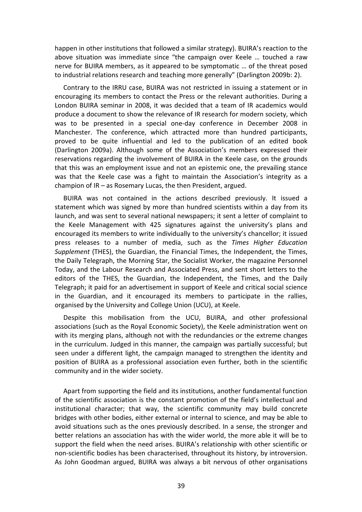happen in other institutions that followed a similar strategy). BUIRA's reaction to the above situation was immediate since "the campaign over Keele … touched a raw nerve for BUIRA members, as it appeared to be symptomatic … of the threat posed to industrial relations research and teaching more generally" (Darlington 2009b: 2).

Contrary to the IRRU case, BUIRA was not restricted in issuing a statement or in encouraging its members to contact the Press or the relevant authorities. During a London BUIRA seminar in 2008, it was decided that a team of IR academics would produce a document to show the relevance of IR research for modern society, which was to be presented in a special one-day conference in December 2008 in Manchester. The conference, which attracted more than hundred participants, proved to be quite influential and led to the publication of an edited book (Darlington 2009a). Although some of the Association's members expressed their reservations regarding the involvement of BUIRA in the Keele case, on the grounds that this was an employment issue and not an epistemic one, the prevailing stance was that the Keele case was a fight to maintain the Association's integrity as a champion of IR – as Rosemary Lucas, the then President, argued.

BUIRA was not contained in the actions described previously. It issued a statement which was signed by more than hundred scientists within a day from its launch, and was sent to several national newspapers; it sent a letter of complaint to the Keele Management with 425 signatures against the university's plans and encouraged its members to write individually to the university's chancellor; it issued press releases to a number of media, such as the *Times Higher Education Supplement* (THES), the Guardian, the Financial Times, the Independent, the Times, the Daily Telegraph, the Morning Star, the Socialist Worker, the magazine Personnel Today, and the Labour Research and Associated Press, and sent short letters to the editors of the THES, the Guardian, the Independent, the Times, and the Daily Telegraph; it paid for an advertisement in support of Keele and critical social science in the Guardian, and it encouraged its members to participate in the rallies, organised by the University and College Union (UCU), at Keele.

Despite this mobilisation from the UCU, BUIRA, and other professional associations (such as the Royal Economic Society), the Keele administration went on with its merging plans, although not with the redundancies or the extreme changes in the curriculum. Judged in this manner, the campaign was partially successful; but seen under a different light, the campaign managed to strengthen the identity and position of BUIRA as a professional association even further, both in the scientific community and in the wider society.

Apart from supporting the field and its institutions, another fundamental function of the scientific association is the constant promotion of the field's intellectual and institutional character; that way, the scientific community may build concrete bridges with other bodies, either external or internal to science, and may be able to avoid situations such as the ones previously described. In a sense, the stronger and better relations an association has with the wider world, the more able it will be to support the field when the need arises. BUIRA's relationship with other scientific or non-scientific bodies has been characterised, throughout its history, by introversion. As John Goodman argued, BUIRA was always a bit nervous of other organisations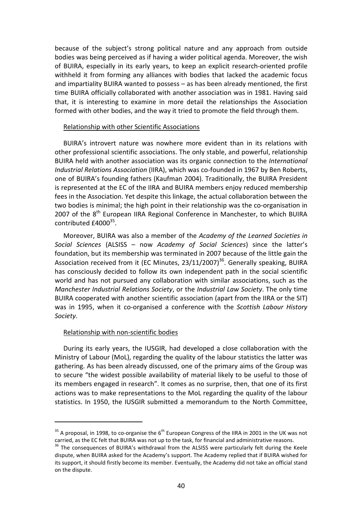because of the subject's strong political nature and any approach from outside bodies was being perceived as if having a wider political agenda. Moreover, the wish of BUIRA, especially in its early years, to keep an explicit research-oriented profile withheld it from forming any alliances with bodies that lacked the academic focus and impartiality BUIRA wanted to possess – as has been already mentioned, the first time BUIRA officially collaborated with another association was in 1981. Having said that, it is interesting to examine in more detail the relationships the Association formed with other bodies, and the way it tried to promote the field through them.

#### Relationship with other Scientific Associations

BUIRA's introvert nature was nowhere more evident than in its relations with other professional scientific associations. The only stable, and powerful, relationship BUIRA held with another association was its organic connection to the *International Industrial Relations Association* (IIRA), which was co-founded in 1967 by Ben Roberts, one of BUIRA's founding fathers (Kaufman 2004). Traditionally, the BUIRA President is represented at the EC of the IIRA and BUIRA members enjoy reduced membership fees in the Association. Yet despite this linkage, the actual collaboration between the two bodies is minimal; the high point in their relationship was the co-organisation in 2007 of the  $8<sup>th</sup>$  European IIRA Regional Conference in Manchester, to which BUIRA contributed  $\pounds 4000^{35}$ .

Moreover, BUIRA was also a member of the *Academy of the Learned Societies in Social Sciences* (ALSISS – now *Academy of Social Sciences*) since the latter's foundation, but its membership was terminated in 2007 because of the little gain the Association received from it (EC Minutes,  $23/11/2007$ )<sup>36</sup>. Generally speaking, BUIRA has consciously decided to follow its own independent path in the social scientific world and has not pursued any collaboration with similar associations, such as the *Manchester Industrial Relations Society*, or the *Industrial Law Society*. The only time BUIRA cooperated with another scientific association (apart from the IIRA or the SIT) was in 1995, when it co-organised a conference with the *Scottish Labour History Society*.

#### Relationship with non-scientific bodies

 $\overline{a}$ 

During its early years, the IUSGIR, had developed a close collaboration with the Ministry of Labour (MoL), regarding the quality of the labour statistics the latter was gathering. As has been already discussed, one of the primary aims of the Group was to secure "the widest possible availability of material likely to be useful to those of its members engaged in research". It comes as no surprise, then, that one of its first actions was to make representations to the MoL regarding the quality of the labour statistics. In 1950, the IUSGIR submitted a memorandum to the North Committee,

 $35$  A proposal, in 1998, to co-organise the 6<sup>th</sup> European Congress of the IIRA in 2001 in the UK was not carried, as the EC felt that BUIRA was not up to the task, for financial and administrative reasons.

<sup>&</sup>lt;sup>36</sup> The consequences of BUIRA's withdrawal from the ALSISS were particularly felt during the Keele dispute, when BUIRA asked for the Academy's support. The Academy replied that if BUIRA wished for its support, it should firstly become its member. Eventually, the Academy did not take an official stand on the dispute.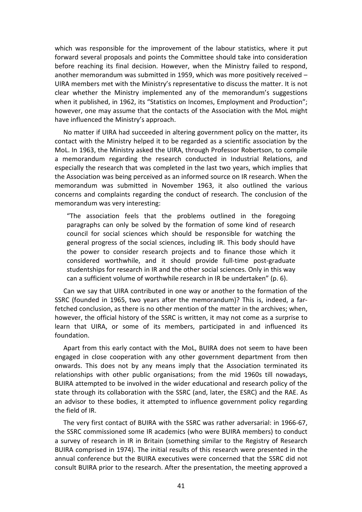which was responsible for the improvement of the labour statistics, where it put forward several proposals and points the Committee should take into consideration before reaching its final decision. However, when the Ministry failed to respond, another memorandum was submitted in 1959, which was more positively received – UIRA members met with the Ministry's representative to discuss the matter. It is not clear whether the Ministry implemented any of the memorandum's suggestions when it published, in 1962, its "Statistics on Incomes, Employment and Production"; however, one may assume that the contacts of the Association with the MoL might have influenced the Ministry's approach.

No matter if UIRA had succeeded in altering government policy on the matter, its contact with the Ministry helped it to be regarded as a scientific association by the MoL. In 1963, the Ministry asked the UIRA, through Professor Robertson, to compile a memorandum regarding the research conducted in Industrial Relations, and especially the research that was completed in the last two years, which implies that the Association was being perceived as an informed source on IR research. When the memorandum was submitted in November 1963, it also outlined the various concerns and complaints regarding the conduct of research. The conclusion of the memorandum was very interesting:

"The association feels that the problems outlined in the foregoing paragraphs can only be solved by the formation of some kind of research council for social sciences which should be responsible for watching the general progress of the social sciences, including IR. This body should have the power to consider research projects and to finance those which it considered worthwhile, and it should provide full-time post-graduate studentships for research in IR and the other social sciences. Only in this way can a sufficient volume of worthwhile research in IR be undertaken" (p. 6).

Can we say that UIRA contributed in one way or another to the formation of the SSRC (founded in 1965, two years after the memorandum)? This is, indeed, a farfetched conclusion, as there is no other mention of the matter in the archives; when, however, the official history of the SSRC is written, it may not come as a surprise to learn that UIRA, or some of its members, participated in and influenced its foundation.

Apart from this early contact with the MoL, BUIRA does not seem to have been engaged in close cooperation with any other government department from then onwards. This does not by any means imply that the Association terminated its relationships with other public organisations; from the mid 1960s till nowadays, BUIRA attempted to be involved in the wider educational and research policy of the state through its collaboration with the SSRC (and, later, the ESRC) and the RAE. As an advisor to these bodies, it attempted to influence government policy regarding the field of IR.

The very first contact of BUIRA with the SSRC was rather adversarial: in 1966-67, the SSRC commissioned some IR academics (who were BUIRA members) to conduct a survey of research in IR in Britain (something similar to the Registry of Research BUIRA comprised in 1974). The initial results of this research were presented in the annual conference but the BUIRA executives were concerned that the SSRC did not consult BUIRA prior to the research. After the presentation, the meeting approved a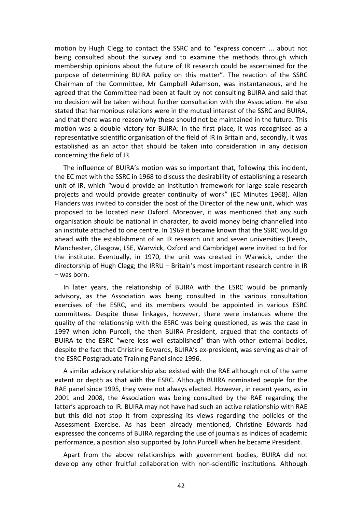motion by Hugh Clegg to contact the SSRC and to "express concern ... about not being consulted about the survey and to examine the methods through which membership opinions about the future of IR research could be ascertained for the purpose of determining BUIRA policy on this matter". The reaction of the SSRC Chairman of the Committee, Mr Campbell Adamson, was instantaneous, and he agreed that the Committee had been at fault by not consulting BUIRA and said that no decision will be taken without further consultation with the Association. He also stated that harmonious relations were in the mutual interest of the SSRC and BUIRA, and that there was no reason why these should not be maintained in the future. This motion was a double victory for BUIRA: in the first place, it was recognised as a representative scientific organisation of the field of IR in Britain and, secondly, it was established as an actor that should be taken into consideration in any decision concerning the field of IR.

The influence of BUIRA's motion was so important that, following this incident, the EC met with the SSRC in 1968 to discuss the desirability of establishing a research unit of IR, which "would provide an institution framework for large scale research projects and would provide greater continuity of work" (EC Minutes 1968). Allan Flanders was invited to consider the post of the Director of the new unit, which was proposed to be located near Oxford. Moreover, it was mentioned that any such organisation should be national in character, to avoid money being channelled into an institute attached to one centre. In 1969 it became known that the SSRC would go ahead with the establishment of an IR research unit and seven universities (Leeds, Manchester, Glasgow, LSE, Warwick, Oxford and Cambridge) were invited to bid for the institute. Eventually, in 1970, the unit was created in Warwick, under the directorship of Hugh Clegg; the IRRU – Britain's most important research centre in IR – was born.

In later years, the relationship of BUIRA with the ESRC would be primarily advisory, as the Association was being consulted in the various consultation exercises of the ESRC, and its members would be appointed in various ESRC committees. Despite these linkages, however, there were instances where the quality of the relationship with the ESRC was being questioned, as was the case in 1997 when John Purcell, the then BUIRA President, argued that the contacts of BUIRA to the ESRC "were less well established" than with other external bodies, despite the fact that Christine Edwards, BUIRA's ex-president, was serving as chair of the ESRC Postgraduate Training Panel since 1996.

A similar advisory relationship also existed with the RAE although not of the same extent or depth as that with the ESRC. Although BUIRA nominated people for the RAE panel since 1995, they were not always elected. However, in recent years, as in 2001 and 2008, the Association was being consulted by the RAE regarding the latter's approach to IR. BUIRA may not have had such an active relationship with RAE but this did not stop it from expressing its views regarding the policies of the Assessment Exercise. As has been already mentioned, Christine Edwards had expressed the concerns of BUIRA regarding the use of journals as indices of academic performance, a position also supported by John Purcell when he became President.

Apart from the above relationships with government bodies, BUIRA did not develop any other fruitful collaboration with non-scientific institutions. Although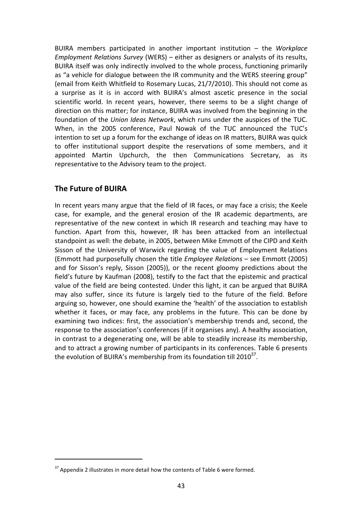BUIRA members participated in another important institution – the *Workplace Employment Relations Survey* (WERS) – either as designers or analysts of its results, BUIRA itself was only indirectly involved to the whole process, functioning primarily as "a vehicle for dialogue between the IR community and the WERS steering group" (email from Keith Whitfield to Rosemary Lucas, 21/7/2010). This should not come as a surprise as it is in accord with BUIRA's almost ascetic presence in the social scientific world. In recent years, however, there seems to be a slight change of direction on this matter; for instance, BUIRA was involved from the beginning in the foundation of the *Union Ideas Network*, which runs under the auspices of the TUC. When, in the 2005 conference, Paul Nowak of the TUC announced the TUC's intention to set up a forum for the exchange of ideas on IR matters, BUIRA was quick to offer institutional support despite the reservations of some members, and it appointed Martin Upchurch, the then Communications Secretary, as its representative to the Advisory team to the project.

### **The Future of BUIRA**

 $\overline{a}$ 

In recent years many argue that the field of IR faces, or may face a crisis; the Keele case, for example, and the general erosion of the IR academic departments, are representative of the new context in which IR research and teaching may have to function. Apart from this, however, IR has been attacked from an intellectual standpoint as well: the debate, in 2005, between Mike Emmott of the CIPD and Keith Sisson of the University of Warwick regarding the value of Employment Relations (Emmott had purposefully chosen the title *Employee Relations* – see Emmott (2005) and for Sisson's reply, Sisson (2005)), or the recent gloomy predictions about the field's future by Kaufman (2008), testify to the fact that the epistemic and practical value of the field are being contested. Under this light, it can be argued that BUIRA may also suffer, since its future is largely tied to the future of the field. Before arguing so, however, one should examine the 'health' of the association to establish whether it faces, or may face, any problems in the future. This can be done by examining two indices: first, the association's membership trends and, second, the response to the association's conferences (if it organises any). A healthy association, in contrast to a degenerating one, will be able to steadily increase its membership, and to attract a growing number of participants in its conferences. Table 6 presents the evolution of BUIRA's membership from its foundation till 2010 $^{37}$ .

 $37$  Appendix 2 illustrates in more detail how the contents of Table 6 were formed.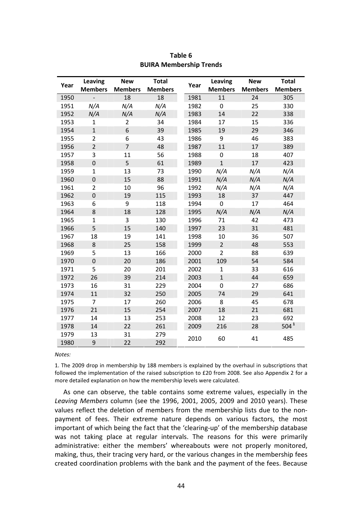| Year | Leaving          | <b>New</b>     | <b>Total</b>   | Year | Leaving        | <b>New</b>     | <b>Total</b>     |
|------|------------------|----------------|----------------|------|----------------|----------------|------------------|
|      | <b>Members</b>   | <b>Members</b> | <b>Members</b> |      | <b>Members</b> | <b>Members</b> | <b>Members</b>   |
| 1950 |                  | 18             | 18             | 1981 | 11             | 24             | 305              |
| 1951 | N/A              | N/A            | N/A            | 1982 | $\mathbf 0$    | 25             | 330              |
| 1952 | N/A              | N/A            | N/A            | 1983 | 14             | 22             | 338              |
| 1953 | $\mathbf{1}$     | $\overline{2}$ | 34             | 1984 | 17             | 15             | 336              |
| 1954 | $\mathbf{1}$     | 6              | 39             | 1985 | 19             | 29             | 346              |
| 1955 | $\overline{2}$   | 6              | 43             | 1986 | 9              | 46             | 383              |
| 1956 | $\overline{2}$   | $\overline{7}$ | 48             | 1987 | 11             | 17             | 389              |
| 1957 | 3                | 11             | 56             | 1988 | $\mathbf 0$    | 18             | 407              |
| 1958 | $\boldsymbol{0}$ | 5              | 61             | 1989 | $\mathbf 1$    | 17             | 423              |
| 1959 | $\mathbf{1}$     | 13             | 73             | 1990 | N/A            | N/A            | N/A              |
| 1960 | $\mathbf 0$      | 15             | 88             | 1991 | N/A            | N/A            | N/A              |
| 1961 | $\overline{2}$   | 10             | 96             | 1992 | N/A            | N/A            | N/A              |
| 1962 | $\mathbf 0$      | 19             | 115            | 1993 | 18             | 37             | 447              |
| 1963 | 6                | 9              | 118            | 1994 | $\mathbf 0$    | 17             | 464              |
| 1964 | 8                | 18             | 128            | 1995 | N/A            | N/A            | N/A              |
| 1965 | $\mathbf{1}$     | 3              | 130            | 1996 | 71             | 42             | 473              |
| 1966 | 5                | 15             | 140            | 1997 | 23             | 31             | 481              |
| 1967 | 18               | 19             | 141            | 1998 | 10             | 36             | 507              |
| 1968 | 8                | 25             | 158            | 1999 | $\overline{2}$ | 48             | 553              |
| 1969 | 5                | 13             | 166            | 2000 | $\overline{2}$ | 88             | 639              |
| 1970 | $\mathbf 0$      | 20             | 186            | 2001 | 109            | 54             | 584              |
| 1971 | 5                | 20             | 201            | 2002 | $\mathbf{1}$   | 33             | 616              |
| 1972 | 26               | 39             | 214            | 2003 | $\mathbf{1}$   | 44             | 659              |
| 1973 | 16               | 31             | 229            | 2004 | $\mathbf 0$    | 27             | 686              |
| 1974 | 11               | 32             | 250            | 2005 | 74             | 29             | 641              |
| 1975 | 7                | 17             | 260            | 2006 | 8              | 45             | 678              |
| 1976 | 21               | 15             | 254            | 2007 | 18             | 21             | 681              |
| 1977 | 14               | 13             | 253            | 2008 | 12             | 23             | 692              |
| 1978 | 14               | 22             | 261            | 2009 | 216            | 28             | 504 <sup>1</sup> |
| 1979 | 13               | 31             | 279            | 2010 | 60             | 41             | 485              |
| 1980 | 9                | 22             | 292            |      |                |                |                  |

#### **Table 6 BUIRA Membership Trends**

*Notes:* 

1. The 2009 drop in membership by 188 members is explained by the overhaul in subscriptions that followed the implementation of the raised subscription to £20 from 2008. See also Appendix 2 for a more detailed explanation on how the membership levels were calculated.

As one can observe, the table contains some extreme values, especially in the *Leaving Members* column (see the 1996, 2001, 2005, 2009 and 2010 years). These values reflect the deletion of members from the membership lists due to the nonpayment of fees. Their extreme nature depends on various factors, the most important of which being the fact that the 'clearing-up' of the membership database was not taking place at regular intervals. The reasons for this were primarily administrative: either the members' whereabouts were not properly monitored, making, thus, their tracing very hard, or the various changes in the membership fees created coordination problems with the bank and the payment of the fees. Because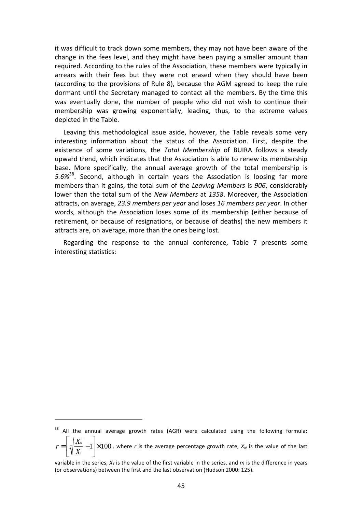it was difficult to track down some members, they may not have been aware of the change in the fees level, and they might have been paying a smaller amount than required. According to the rules of the Association, these members were typically in arrears with their fees but they were not erased when they should have been (according to the provisions of Rule 8), because the AGM agreed to keep the rule dormant until the Secretary managed to contact all the members. By the time this was eventually done, the number of people who did not wish to continue their membership was growing exponentially, leading, thus, to the extreme values depicted in the Table.

Leaving this methodological issue aside, however, the Table reveals some very interesting information about the status of the Association. First, despite the existence of some variations, the *Total Membership* of BUIRA follows a steady upward trend, which indicates that the Association is able to renew its membership base. More specifically, the annual average growth of the total membership is *5.6%*<sup>38</sup>. Second, although in certain years the Association is loosing far more members than it gains, the total sum of the *Leaving Members* is *906*, considerably lower than the total sum of the *New Members* at *1358*. Moreover, the Association attracts, on average, *23.9 members per year* and loses *16 members per year*. In other words, although the Association loses some of its membership (either because of retirement, or because of resignations, or because of deaths) the new members it attracts are, on average, more than the ones being lost.

Regarding the response to the annual conference, Table 7 presents some interesting statistics:

 $\overline{a}$ 

<sup>&</sup>lt;sup>38</sup> All the annual average growth rates (AGR) were calculated using the following formula: ן Γ *N*

 $1 \times 100$  $\rfloor$ L L  $=\left(\sqrt[m]{\frac{X_N}{X_T}}\right)$ *X*  $r = \left| \sqrt[m]{\frac{X_N}{X}} - 1 \right| \times 100$ , where *r* is the average percentage growth rate,  $X_N$  is the value of the last

variable in the series,  $X_T$  is the value of the first variable in the series, and  $m$  is the difference in years (or observations) between the first and the last observation (Hudson 2000: 125).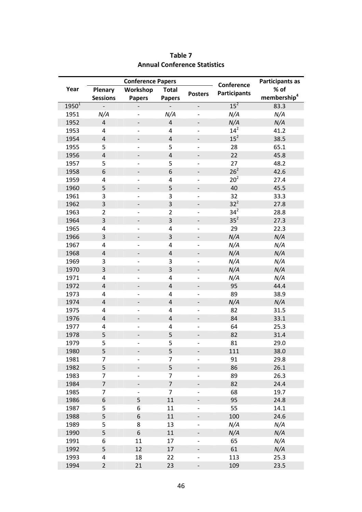|            | <b>Conference Papers</b> |                              |                          | Conference                   | <b>Participants as</b> |                         |
|------------|--------------------------|------------------------------|--------------------------|------------------------------|------------------------|-------------------------|
| Year       | Plenary                  | Workshop                     | <b>Total</b>             |                              | <b>Participants</b>    | % of                    |
|            | <b>Sessions</b>          | <b>Papers</b>                | <b>Papers</b>            | <b>Posters</b>               |                        | membership <sup>4</sup> |
| $1950^{1}$ | $\overline{\phantom{0}}$ |                              | $\overline{\phantom{0}}$ | $\overline{\phantom{0}}$     | 15 <sup>2</sup>        | 83.3                    |
| 1951       | N/A                      | $\overline{\phantom{0}}$     | N/A                      | $\overline{\phantom{0}}$     | N/A                    | N/A                     |
| 1952       | $\overline{4}$           | $\overline{\phantom{0}}$     | $\overline{4}$           | $\overline{\phantom{0}}$     | N/A                    | N/A                     |
| 1953       | $\overline{\mathbf{4}}$  |                              | 4                        | -                            | $14^{2}$               | 41.2                    |
| 1954       | $\pmb{4}$                |                              | $\pmb{4}$                |                              | $15^2$                 | 38.5                    |
| 1955       | 5                        | $\qquad \qquad \blacksquare$ | 5                        | -                            | 28                     | 65.1                    |
| 1956       | $\pmb{4}$                | $\overline{\phantom{a}}$     | $\pmb{4}$                | $\overline{\phantom{0}}$     | 22                     | 45.8                    |
| 1957       | 5                        | $\overline{a}$               | 5                        | -                            | 27                     | 48.2                    |
| 1958       | 6                        | $\overline{\phantom{m}}$     | $\,$ 6 $\,$              | $\overline{\phantom{a}}$     | 26 <sup>2</sup>        | 42.6                    |
| 1959       | 4                        | $\overline{\phantom{0}}$     | 4                        |                              | 20 <sup>2</sup>        | 27.4                    |
| 1960       | 5                        | $\qquad \qquad \blacksquare$ | 5                        | $\qquad \qquad -$            | 40                     | 45.5                    |
| 1961       | 3                        | $\qquad \qquad -$            | 3                        | $\overline{\phantom{0}}$     | 32                     | 33.3                    |
| 1962       | 3                        | $\overline{\phantom{0}}$     | 3                        | $\qquad \qquad -$            | $32^2$                 | 27.8                    |
| 1963       | $\overline{2}$           | $\overline{a}$               | $\overline{2}$           |                              | $34^2$                 | 28.8                    |
| 1964       | 3                        | $\overline{\phantom{0}}$     | 3                        | $\overline{\phantom{0}}$     | 35 <sup>2</sup>        | 27.3                    |
| 1965       | 4                        | $\overline{\phantom{a}}$     | 4                        | $\overline{a}$               | 29                     | 22.3                    |
| 1966       | 3                        | -                            | 3                        | $\overline{\phantom{a}}$     | N/A                    | N/A                     |
| 1967       | 4                        | $\qquad \qquad -$            | 4                        |                              | N/A                    | N/A                     |
| 1968       | $\pmb{4}$                | $\overline{\phantom{a}}$     | $\pmb{4}$                | $\qquad \qquad \blacksquare$ | N/A                    | N/A                     |
| 1969       | 3                        | $\qquad \qquad -$            | 3                        | $\qquad \qquad -$            | N/A                    | N/A                     |
| 1970       | $\overline{\mathbf{3}}$  | -                            | 3                        | $\overline{\phantom{0}}$     | N/A                    | N/A                     |
| 1971       | 4                        |                              | 4                        |                              | N/A                    | N/A                     |
| 1972       | $\pmb{4}$                | -                            | $\overline{4}$           | $\overline{\phantom{0}}$     | 95                     | 44.4                    |
| 1973       | 4                        | $\overline{\phantom{a}}$     | 4                        | $\overline{\phantom{0}}$     | 89                     | 38.9                    |
| 1974       | $\pmb{4}$                | -                            | $\pmb{4}$                | $\overline{\phantom{0}}$     | N/A                    | N/A                     |
| 1975       | 4                        | -                            | 4                        |                              | 82                     | 31.5                    |
| 1976       | $\pmb{4}$                | -                            | $\pmb{4}$                | $\overline{\phantom{0}}$     | 84                     | 33.1                    |
| 1977       | 4                        | $\qquad \qquad -$            | 4                        | $\qquad \qquad -$            | 64                     | 25.3                    |
| 1978       | 5                        |                              | 5                        |                              | 82                     | 31.4                    |
| 1979       | 5                        |                              | 5                        |                              | 81                     | 29.0                    |
| 1980       | 5                        |                              | 5                        |                              | 111                    | 38.0                    |
| 1981       | 7                        | $\qquad \qquad -$            | 7                        | $\overline{\phantom{0}}$     | 91                     | 29.8                    |
| 1982       | 5                        |                              | 5                        | -                            | 86                     | 26.1                    |
| 1983       | 7                        |                              | $\overline{7}$           |                              | 89                     | 26.3                    |
| 1984       | $\overline{\mathcal{I}}$ |                              | $\overline{7}$           |                              | 82                     | 24.4                    |
| 1985       | 7                        |                              | $\overline{7}$           |                              | 68                     | 19.7                    |
| 1986       | 6                        | 5                            | 11                       |                              | 95                     | 24.8                    |
| 1987       | 5                        | 6                            | 11                       |                              | 55                     | 14.1                    |
| 1988       | 5                        | 6                            | 11                       |                              | 100                    | 24.6                    |
| 1989       | 5                        | 8                            | 13                       | $\qquad \qquad -$            | N/A                    | N/A                     |
| 1990       | 5                        | 6                            | 11                       | -                            | N/A                    | N/A                     |
| 1991       | 6                        | 11                           | 17                       |                              | 65                     | N/A                     |
| 1992       | 5                        | 12                           | 17                       |                              | 61                     | N/A                     |
| 1993       | 4                        | 18                           | 22                       |                              | 113                    | 25.3                    |
| 1994       | $\overline{2}$           | 21                           | 23                       | $\overline{\phantom{0}}$     | 109                    | 23.5                    |

### **Table 7 Annual Conference Statistics**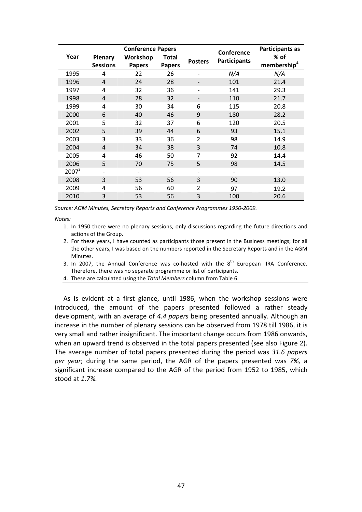|                   |                                                                                                     | <b>Conference Papers</b> | Conference               | <b>Participants as</b>          |     |      |
|-------------------|-----------------------------------------------------------------------------------------------------|--------------------------|--------------------------|---------------------------------|-----|------|
| Year              | Workshop<br>Plenary<br>Total<br><b>Posters</b><br><b>Sessions</b><br><b>Papers</b><br><b>Papers</b> |                          | <b>Participants</b>      | % of<br>membership <sup>4</sup> |     |      |
| 1995              | 4                                                                                                   | 22                       | 26                       |                                 | N/A | N/A  |
| 1996              | 4                                                                                                   | 24                       | 28                       |                                 | 101 | 21.4 |
| 1997              | 4                                                                                                   | 32                       | 36                       |                                 | 141 | 29.3 |
| 1998              | $\overline{4}$                                                                                      | 28                       | 32                       |                                 | 110 | 21.7 |
| 1999              | 4                                                                                                   | 30                       | 34                       | 6                               | 115 | 20.8 |
| 2000              | 6                                                                                                   | 40                       | 46                       | 9                               | 180 | 28.2 |
| 2001              | 5                                                                                                   | 32                       | 37                       | 6                               | 120 | 20.5 |
| 2002              | 5                                                                                                   | 39                       | 44                       | 6                               | 93  | 15.1 |
| 2003              | 3                                                                                                   | 33                       | 36                       | $\overline{2}$                  | 98  | 14.9 |
| 2004              | 4                                                                                                   | 34                       | 38                       | 3                               | 74  | 10.8 |
| 2005              | 4                                                                                                   | 46                       | 50                       | 7                               | 92  | 14.4 |
| 2006              | 5                                                                                                   | 70                       | 75                       | 5                               | 98  | 14.5 |
| 2007 <sup>3</sup> | -                                                                                                   | $\qquad \qquad$          | $\overline{\phantom{a}}$ |                                 |     |      |
| 2008              | 3                                                                                                   | 53                       | 56                       | 3                               | 90  | 13.0 |
| 2009              | 4                                                                                                   | 56                       | 60                       | $\overline{2}$                  | 97  | 19.2 |
| 2010              | 3                                                                                                   | 53                       | 56                       | 3                               | 100 | 20.6 |

*Source: AGM Minutes, Secretary Reports and Conference Programmes 1950-2009.* 

*Notes:* 

- 1. In 1950 there were no plenary sessions, only discussions regarding the future directions and actions of the Group.
- 2. For these years, I have counted as participants those present in the Business meetings; for all the other years, I was based on the numbers reported in the Secretary Reports and in the AGM Minutes.
- 3. In 2007, the Annual Conference was co-hosted with the  $8<sup>th</sup>$  European IIRA Conference. Therefore, there was no separate programme or list of participants.
- 4. These are calculated using the *Total Members* column from Table 6.

As is evident at a first glance, until 1986, when the workshop sessions were introduced, the amount of the papers presented followed a rather steady development, with an average of *4.4 papers* being presented annually. Although an increase in the number of plenary sessions can be observed from 1978 till 1986, it is very small and rather insignificant. The important change occurs from 1986 onwards, when an upward trend is observed in the total papers presented (see also Figure 2). The average number of total papers presented during the period was *31.6 papers per year*; during the same period, the AGR of the papers presented was *7%,* a significant increase compared to the AGR of the period from 1952 to 1985, which stood at *1.7%.*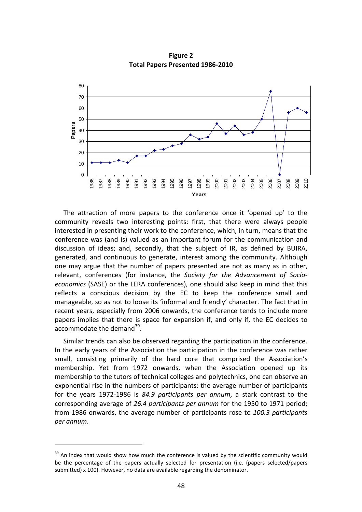

**Figure 2 Total Papers Presented 1986-2010** 

The attraction of more papers to the conference once it 'opened up' to the community reveals two interesting points: first, that there were always people interested in presenting their work to the conference, which, in turn, means that the conference was (and is) valued as an important forum for the communication and discussion of ideas; and, secondly, that the subject of IR, as defined by BUIRA, generated, and continuous to generate, interest among the community. Although one may argue that the number of papers presented are not as many as in other, relevant, conferences (for instance, the *Society for the Advancement of Socioeconomics* (SASE) or the LERA conferences), one should also keep in mind that this reflects a conscious decision by the EC to keep the conference small and manageable, so as not to loose its 'informal and friendly' character. The fact that in recent years, especially from 2006 onwards, the conference tends to include more papers implies that there is space for expansion if, and only if, the EC decides to accommodate the demand $^{39}$ .

Similar trends can also be observed regarding the participation in the conference. In the early years of the Association the participation in the conference was rather small, consisting primarily of the hard core that comprised the Association's membership. Yet from 1972 onwards, when the Association opened up its membership to the tutors of technical colleges and polytechnics, one can observe an exponential rise in the numbers of participants: the average number of participants for the years 1972-1986 is *84.9 participants per annum*, a stark contrast to the corresponding average of *26.4 participants per annum* for the 1950 to 1971 period; from 1986 onwards, the average number of participants rose to *100.3 participants per annum*.

j

<sup>&</sup>lt;sup>39</sup> An index that would show how much the conference is valued by the scientific community would be the percentage of the papers actually selected for presentation (i.e. (papers selected/papers submitted) x 100). However, no data are available regarding the denominator.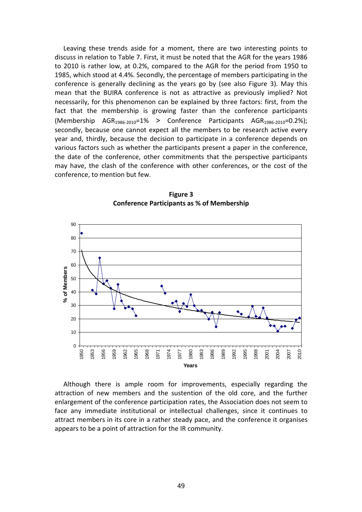Leaving these trends aside for a moment, there are two interesting points to discuss in relation to Table 7. First, it must be noted that the AGR for the years 1986 to 2010 is rather low, at 0.2%, compared to the AGR for the period from 1950 to 1985, which stood at 4.4%. Secondly, the percentage of members participating in the conference is generally declining as the years go by (see also Figure 3). May this mean that the BUIRA conference is not as attractive as previously implied? Not necessarily, for this phenomenon can be explained by three factors: first, from the fact that the membership is growing faster than the conference participants (Membership  $AGR_{1986-2010}=1\%$  > Conference Participants  $AGR_{1986-2010}=0.2\%$ ); secondly, because one cannot expect all the members to be research active every year and, thirdly, because the decision to participate in a conference depends on various factors such as whether the participants present a paper in the conference, the date of the conference, other commitments that the perspective participants may have, the clash of the conference with other conferences, or the cost of the conference, to mention but few.



**Figure 3 Conference Participants as % of Membership** 

Although there is ample room for improvements, especially regarding the attraction of new members and the sustention of the old core, and the further enlargement of the conference participation rates, the Association does not seem to face any immediate institutional or intellectual challenges, since it continues to attract members in its core in a rather steady pace, and the conference it organises appears to be a point of attraction for the IR community.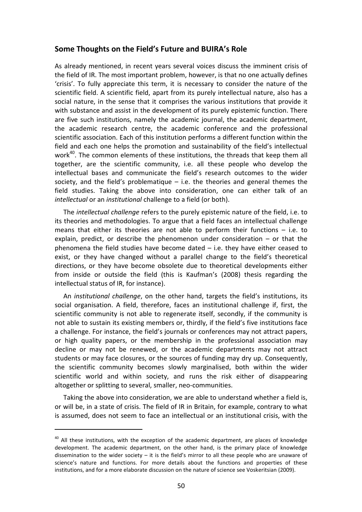#### **Some Thoughts on the Field's Future and BUIRA's Role**

As already mentioned, in recent years several voices discuss the imminent crisis of the field of IR. The most important problem, however, is that no one actually defines 'crisis'. To fully appreciate this term, it is necessary to consider the nature of the scientific field. A scientific field, apart from its purely intellectual nature, also has a social nature, in the sense that it comprises the various institutions that provide it with substance and assist in the development of its purely epistemic function. There are five such institutions, namely the academic journal, the academic department, the academic research centre, the academic conference and the professional scientific association. Each of this institution performs a different function within the field and each one helps the promotion and sustainability of the field's intellectual work<sup>40</sup>. The common elements of these institutions, the threads that keep them all together, are the scientific community, i.e. all these people who develop the intellectual bases and communicate the field's research outcomes to the wider society, and the field's problematique  $-$  i.e. the theories and general themes the field studies. Taking the above into consideration, one can either talk of an *intellectual* or an *institutional* challenge to a field (or both).

The *intellectual challenge* refers to the purely epistemic nature of the field, i.e. to its theories and methodologies. To argue that a field faces an intellectual challenge means that either its theories are not able to perform their functions – i.e. to explain, predict, or describe the phenomenon under consideration – or that the phenomena the field studies have become dated – i.e. they have either ceased to exist, or they have changed without a parallel change to the field's theoretical directions, or they have become obsolete due to theoretical developments either from inside or outside the field (this is Kaufman's (2008) thesis regarding the intellectual status of IR, for instance).

An *institutional challenge*, on the other hand, targets the field's institutions, its social organisation. A field, therefore, faces an institutional challenge if, first, the scientific community is not able to regenerate itself, secondly, if the community is not able to sustain its existing members or, thirdly, if the field's five institutions face a challenge. For instance, the field's journals or conferences may not attract papers, or high quality papers, or the membership in the professional association may decline or may not be renewed, or the academic departments may not attract students or may face closures, or the sources of funding may dry up. Consequently, the scientific community becomes slowly marginalised, both within the wider scientific world and within society, and runs the risk either of disappearing altogether or splitting to several, smaller, neo-communities.

Taking the above into consideration, we are able to understand whether a field is, or will be, in a state of crisis. The field of IR in Britain, for example, contrary to what is assumed, does not seem to face an intellectual or an institutional crisis, with the

j

<sup>&</sup>lt;sup>40</sup> All these institutions, with the exception of the academic department, are places of knowledge development. The academic department, on the other hand, is the primary place of knowledge dissemination to the wider society  $-$  it is the field's mirror to all these people who are unaware of science's nature and functions. For more details about the functions and properties of these institutions, and for a more elaborate discussion on the nature of science see Voskeritsian (2009).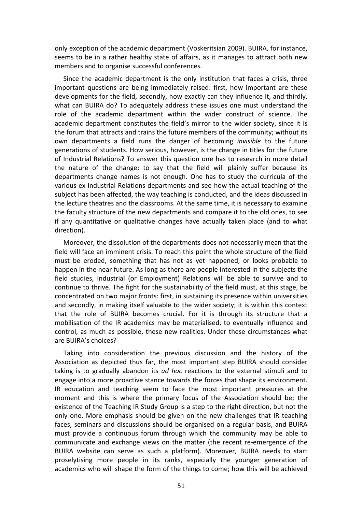only exception of the academic department (Voskeritsian 2009). BUIRA, for instance, seems to be in a rather healthy state of affairs, as it manages to attract both new members and to organise successful conferences.

Since the academic department is the only institution that faces a crisis, three important questions are being immediately raised: first, how important are these developments for the field, secondly, how exactly can they influence it, and thirdly, what can BUIRA do? To adequately address these issues one must understand the role of the academic department within the wider construct of science. The academic department constitutes the field's mirror to the wider society, since it is the forum that attracts and trains the future members of the community; without its own departments a field runs the danger of becoming *invisible* to the future generations of students. How serious, however, is the change in titles for the future of Industrial Relations? To answer this question one has to research in more detail the nature of the change; to say that the field will plainly suffer because its departments change names is not enough. One has to study the curricula of the various ex-Industrial Relations departments and see how the actual teaching of the subject has been affected, the way teaching is conducted, and the ideas discussed in the lecture theatres and the classrooms. At the same time, it is necessary to examine the faculty structure of the new departments and compare it to the old ones, to see if any quantitative or qualitative changes have actually taken place (and to what direction).

Moreover, the dissolution of the departments does not necessarily mean that the field will face an imminent crisis. To reach this point the whole structure of the field must be eroded, something that has not as yet happened, or looks probable to happen in the near future. As long as there are people interested in the subjects the field studies, Industrial (or Employment) Relations will be able to survive and to continue to thrive. The fight for the sustainability of the field must, at this stage, be concentrated on two major fronts: first, in sustaining its presence within universities and secondly, in making itself valuable to the wider society; it is within this context that the role of BUIRA becomes crucial. For it is through its structure that a mobilisation of the IR academics may be materialised, to eventually influence and control, as much as possible, these new realities. Under these circumstances what are BUIRA's choices?

Taking into consideration the previous discussion and the history of the Association as depicted thus far, the most important step BUIRA should consider taking is to gradually abandon its *ad hoc* reactions to the external stimuli and to engage into a more proactive stance towards the forces that shape its environment. IR education and teaching seem to face the most important pressures at the moment and this is where the primary focus of the Association should be; the existence of the Teaching IR Study Group is a step to the right direction, but not the only one. More emphasis should be given on the new challenges that IR teaching faces, seminars and discussions should be organised on a regular basis, and BUIRA must provide a continuous forum through which the community may be able to communicate and exchange views on the matter (the recent re-emergence of the BUIRA website can serve as such a platform). Moreover, BUIRA needs to start proselytising more people in its ranks, especially the younger generation of academics who will shape the form of the things to come; how this will be achieved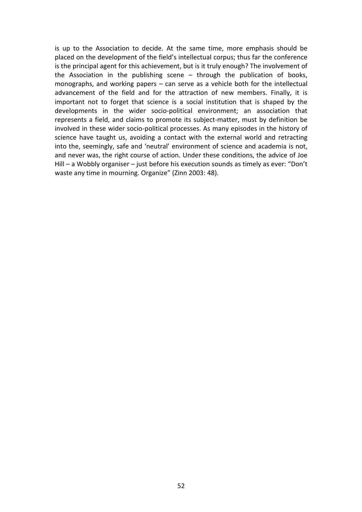is up to the Association to decide. At the same time, more emphasis should be placed on the development of the field's intellectual corpus; thus far the conference is the principal agent for this achievement, but is it truly enough? The involvement of the Association in the publishing scene – through the publication of books, monographs, and working papers – can serve as a vehicle both for the intellectual advancement of the field and for the attraction of new members. Finally, it is important not to forget that science is a social institution that is shaped by the developments in the wider socio-political environment; an association that represents a field, and claims to promote its subject-matter, must by definition be involved in these wider socio-political processes. As many episodes in the history of science have taught us, avoiding a contact with the external world and retracting into the, seemingly, safe and 'neutral' environment of science and academia is not, and never was, the right course of action. Under these conditions, the advice of Joe Hill – a Wobbly organiser – just before his execution sounds as timely as ever: "Don't waste any time in mourning. Organize" (Zinn 2003: 48).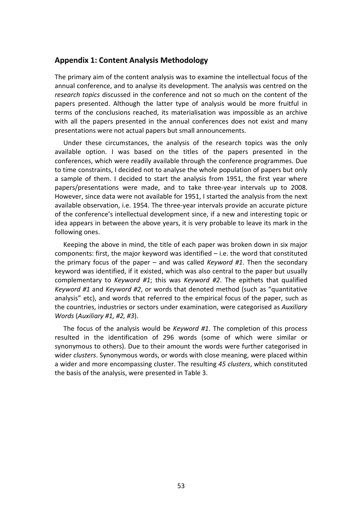#### **Appendix 1: Content Analysis Methodology**

The primary aim of the content analysis was to examine the intellectual focus of the annual conference, and to analyse its development. The analysis was centred on the *research topics* discussed in the conference and not so much on the content of the papers presented. Although the latter type of analysis would be more fruitful in terms of the conclusions reached, its materialisation was impossible as an archive with all the papers presented in the annual conferences does not exist and many presentations were not actual papers but small announcements.

Under these circumstances, the analysis of the research topics was the only available option. I was based on the titles of the papers presented in the conferences, which were readily available through the conference programmes. Due to time constraints, I decided not to analyse the whole population of papers but only a sample of them. I decided to start the analysis from 1951, the first year where papers/presentations were made, and to take three-year intervals up to 2008. However, since data were not available for 1951, I started the analysis from the next available observation, i.e. 1954. The three-year intervals provide an accurate picture of the conference's intellectual development since, if a new and interesting topic or idea appears in between the above years, it is very probable to leave its mark in the following ones.

Keeping the above in mind, the title of each paper was broken down in six major components: first, the major keyword was identified – i.e. the word that constituted the primary focus of the paper – and was called *Keyword #1*. Then the secondary keyword was identified, if it existed, which was also central to the paper but usually complementary to *Keyword #1*; this was *Keyword #2*. The epithets that qualified *Keyword #1* and *Keyword #2*, or words that denoted method (such as "quantitative analysis" etc), and words that referred to the empirical focus of the paper, such as the countries, industries or sectors under examination, were categorised as *Auxiliary Words* (*Auxiliary #1, #2, #3*).

The focus of the analysis would be *Keyword #1*. The completion of this process resulted in the identification of 296 words (some of which were similar or synonymous to others). Due to their amount the words were further categorised in wider *clusters*. Synonymous words, or words with close meaning, were placed within a wider and more encompassing cluster. The resulting *45 clusters*, which constituted the basis of the analysis, were presented in Table 3.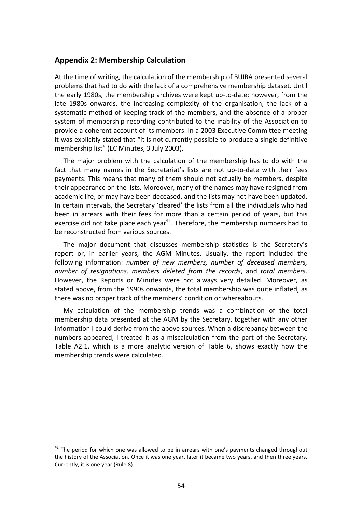#### **Appendix 2: Membership Calculation**

At the time of writing, the calculation of the membership of BUIRA presented several problems that had to do with the lack of a comprehensive membership dataset. Until the early 1980s, the membership archives were kept up-to-date; however, from the late 1980s onwards, the increasing complexity of the organisation, the lack of a systematic method of keeping track of the members, and the absence of a proper system of membership recording contributed to the inability of the Association to provide a coherent account of its members. In a 2003 Executive Committee meeting it was explicitly stated that "it is not currently possible to produce a single definitive membership list" (EC Minutes, 3 July 2003).

The major problem with the calculation of the membership has to do with the fact that many names in the Secretariat's lists are not up-to-date with their fees payments. This means that many of them should not actually be members, despite their appearance on the lists. Moreover, many of the names may have resigned from academic life, or may have been deceased, and the lists may not have been updated. In certain intervals, the Secretary 'cleared' the lists from all the individuals who had been in arrears with their fees for more than a certain period of years, but this exercise did not take place each year<sup>41</sup>. Therefore, the membership numbers had to be reconstructed from various sources.

The major document that discusses membership statistics is the Secretary's report or, in earlier years, the AGM Minutes. Usually, the report included the following information: *number of new members, number of deceased members, number of resignations, members deleted from the records*, and *total members*. However, the Reports or Minutes were not always very detailed. Moreover, as stated above, from the 1990s onwards, the total membership was quite inflated, as there was no proper track of the members' condition or whereabouts.

My calculation of the membership trends was a combination of the total membership data presented at the AGM by the Secretary, together with any other information I could derive from the above sources. When a discrepancy between the numbers appeared, I treated it as a miscalculation from the part of the Secretary. Table A2.1, which is a more analytic version of Table 6, shows exactly how the membership trends were calculated.

j

 $41$  The period for which one was allowed to be in arrears with one's payments changed throughout the history of the Association. Once it was one year, later it became two years, and then three years. Currently, it is one year (Rule 8).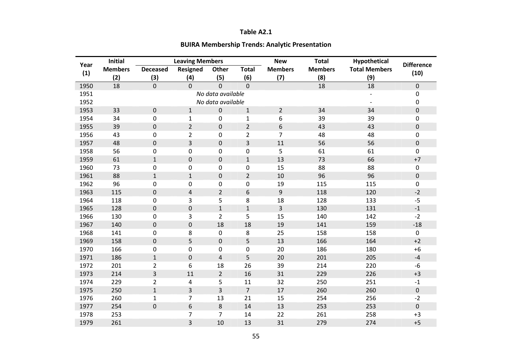#### **Table A2.1**

#### **BUIRA Membership Trends: Analytic Presentation**

| Year | <b>Initial</b> | <b>Leaving Members</b> |                  |                   | <b>New</b>     | <b>Total</b>   | Hypothetical   | <b>Difference</b>    |                  |
|------|----------------|------------------------|------------------|-------------------|----------------|----------------|----------------|----------------------|------------------|
|      | <b>Members</b> | <b>Deceased</b>        | <b>Resigned</b>  | <b>Other</b>      | <b>Total</b>   | <b>Members</b> | <b>Members</b> | <b>Total Members</b> | (10)             |
| (1)  | (2)            | (3)                    | (4)              | (5)               | (6)            | (7)            | (8)            | (9)                  |                  |
| 1950 | 18             | $\overline{0}$         | $\overline{0}$   | $\overline{0}$    | $\overline{0}$ |                | 18             | 18                   | $\mathbf 0$      |
| 1951 |                |                        |                  | No data available |                |                |                |                      | 0                |
| 1952 |                |                        |                  | No data available |                |                |                |                      | $\mathbf 0$      |
| 1953 | 33             | $\boldsymbol{0}$       | $\mathbf{1}$     | $\pmb{0}$         | $\mathbf{1}$   | $\overline{2}$ | 34             | 34                   | $\pmb{0}$        |
| 1954 | 34             | $\boldsymbol{0}$       | $\mathbf{1}$     | 0                 | $\mathbf{1}$   | 6              | 39             | 39                   | 0                |
| 1955 | 39             | $\boldsymbol{0}$       | $\overline{2}$   | $\pmb{0}$         | $\overline{2}$ | 6              | 43             | 43                   | $\boldsymbol{0}$ |
| 1956 | 43             | 0                      | $\overline{2}$   | 0                 | 2              | 7              | 48             | 48                   | 0                |
| 1957 | 48             | $\boldsymbol{0}$       | 3                | 0                 | 3              | 11             | 56             | 56                   | $\pmb{0}$        |
| 1958 | 56             | $\boldsymbol{0}$       | $\boldsymbol{0}$ | 0                 | 0              | 5              | 61             | 61                   | $\boldsymbol{0}$ |
| 1959 | 61             | $\mathbf 1$            | $\pmb{0}$        | 0                 | $\mathbf{1}$   | 13             | 73             | 66                   | $+7$             |
| 1960 | 73             | 0                      | 0                | 0                 | $\mathbf 0$    | 15             | 88             | 88                   | $\mathbf 0$      |
| 1961 | 88             | $\mathbf{1}$           | $\mathbf{1}$     | 0                 | $\overline{2}$ | 10             | 96             | 96                   | $\pmb{0}$        |
| 1962 | 96             | 0                      | 0                | 0                 | 0              | 19             | 115            | 115                  | $\mathbf 0$      |
| 1963 | 115            | $\boldsymbol{0}$       | $\overline{4}$   | $\overline{2}$    | 6              | 9              | 118            | 120                  | $-2$             |
| 1964 | 118            | $\mathbf 0$            | 3                | 5                 | 8              | 18             | 128            | 133                  | $-5$             |
| 1965 | 128            | $\boldsymbol{0}$       | $\pmb{0}$        | $\mathbf 1$       | $\mathbf{1}$   | 3              | 130            | 131                  | $-1$             |
| 1966 | 130            | $\mathbf 0$            | 3                | $\overline{2}$    | 5              | 15             | 140            | 142                  | $-2$             |
| 1967 | 140            | $\mathbf 0$            | $\boldsymbol{0}$ | 18                | 18             | 19             | 141            | 159                  | $-18$            |
| 1968 | 141            | $\mathbf 0$            | 8                | $\pmb{0}$         | 8              | 25             | 158            | 158                  | $\mathbf 0$      |
| 1969 | 158            | $\boldsymbol{0}$       | 5                | $\boldsymbol{0}$  | 5              | 13             | 166            | 164                  | $+2$             |
| 1970 | 166            | $\boldsymbol{0}$       | $\pmb{0}$        | 0                 | 0              | 20             | 186            | 180                  | $+6$             |
| 1971 | 186            | $\mathbf{1}$           | $\pmb{0}$        | $\overline{4}$    | 5              | 20             | 201            | 205                  | $-4$             |
| 1972 | 201            | $\overline{2}$         | 6                | 18                | 26             | 39             | 214            | 220                  | $-6$             |
| 1973 | 214            | 3                      | 11               | $\overline{2}$    | 16             | 31             | 229            | 226                  | $+3$             |
| 1974 | 229            | $\overline{2}$         | 4                | 5                 | 11             | 32             | 250            | 251                  | $-1$             |
| 1975 | 250            | $\mathbf{1}$           | 3                | 3                 | $\overline{7}$ | 17             | 260            | 260                  | $\boldsymbol{0}$ |
| 1976 | 260            | $\mathbf{1}$           | $\overline{7}$   | 13                | 21             | 15             | 254            | 256                  | $-2$             |
| 1977 | 254            | $\boldsymbol{0}$       | 6                | 8                 | 14             | 13             | 253            | 253                  | $\mathbf 0$      |
| 1978 | 253            |                        | 7                | $\overline{7}$    | 14             | 22             | 261            | 258                  | $+3$             |
| 1979 | 261            |                        | 3                | 10                | 13             | 31             | 279            | 274                  | $+5$             |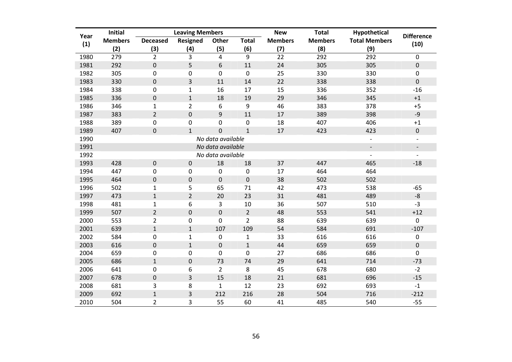| <b>Initial</b><br>Year |                | <b>Leaving Members</b> |                  |                   |                  | <b>New</b>     | <b>Total</b>   | Hypothetical             | <b>Difference</b>        |
|------------------------|----------------|------------------------|------------------|-------------------|------------------|----------------|----------------|--------------------------|--------------------------|
| (1)                    | <b>Members</b> | <b>Deceased</b>        | <b>Resigned</b>  | <b>Other</b>      | <b>Total</b>     | <b>Members</b> | <b>Members</b> | <b>Total Members</b>     | (10)                     |
|                        | (2)            | (3)                    | (4)              | (5)               | (6)              | (7)            | (8)            | (9)                      |                          |
| 1980                   | 279            | $\overline{2}$         | 3                | 4                 | 9                | 22             | 292            | 292                      | $\pmb{0}$                |
| 1981                   | 292            | $\mathbf 0$            | 5                | 6                 | 11               | 24             | 305            | 305                      | $\pmb{0}$                |
| 1982                   | 305            | $\boldsymbol{0}$       | $\boldsymbol{0}$ | 0                 | $\mathbf 0$      | 25             | 330            | 330                      | $\mathbf 0$              |
| 1983                   | 330            | $\pmb{0}$              | 3                | 11                | 14               | 22             | 338            | 338                      | $\pmb{0}$                |
| 1984                   | 338            | $\mathbf 0$            | $\mathbf{1}$     | 16                | 17               | 15             | 336            | 352                      | $-16$                    |
| 1985                   | 336            | $\pmb{0}$              | $\mathbf{1}$     | 18                | 19               | 29             | 346            | 345                      | $+1$                     |
| 1986                   | 346            | $\mathbf{1}$           | $\overline{2}$   | 6                 | 9                | 46             | 383            | 378                      | $+5$                     |
| 1987                   | 383            | $\overline{2}$         | $\mathbf 0$      | 9                 | 11               | 17             | 389            | 398                      | $-9$                     |
| 1988                   | 389            | $\mathbf 0$            | 0                | 0                 | $\mathbf 0$      | 18             | 407            | 406                      | $+1$                     |
| 1989                   | 407            | $\pmb{0}$              | $\mathbf{1}$     | $\overline{0}$    | $\mathbf{1}$     | 17             | 423            | 423                      | $\pmb{0}$                |
| 1990                   |                |                        |                  | No data available |                  |                |                |                          |                          |
| 1991                   |                |                        |                  | No data available |                  |                |                | $\overline{\phantom{a}}$ | $\overline{\phantom{a}}$ |
| 1992                   |                |                        |                  | No data available |                  |                |                | $\overline{a}$           | $\blacksquare$           |
| 1993                   | 428            | $\pmb{0}$              | $\boldsymbol{0}$ | 18                | 18               | 37             | 447            | 465                      | $-18$                    |
| 1994                   | 447            | $\mathbf 0$            | 0                | 0                 | $\boldsymbol{0}$ | 17             | 464            | 464                      |                          |
| 1995                   | 464            | $\pmb{0}$              | $\boldsymbol{0}$ | $\pmb{0}$         | $\mathbf 0$      | 38             | 502            | 502                      |                          |
| 1996                   | 502            | $\mathbf{1}$           | 5                | 65                | 71               | 42             | 473            | 538                      | $-65$                    |
| 1997                   | 473            | $\mathbf{1}$           | $\overline{2}$   | 20                | 23               | 31             | 481            | 489                      | $-8$                     |
| 1998                   | 481            | $\mathbf{1}$           | 6                | 3                 | 10               | 36             | 507            | 510                      | $-3$                     |
| 1999                   | 507            | $\overline{2}$         | $\mathbf 0$      | $\pmb{0}$         | $\overline{2}$   | 48             | 553            | 541                      | $+12$                    |
| 2000                   | 553            | $\overline{2}$         | 0                | 0                 | $\overline{2}$   | 88             | 639            | 639                      | $\mathbf 0$              |
| 2001                   | 639            | $\mathbf{1}$           | $\mathbf{1}$     | 107               | 109              | 54             | 584            | 691                      | $-107$                   |
| 2002                   | 584            | $\pmb{0}$              | $\mathbf{1}$     | $\pmb{0}$         | $\mathbf{1}$     | 33             | 616            | 616                      | $\pmb{0}$                |
| 2003                   | 616            | $\pmb{0}$              | $\mathbf{1}$     | $\pmb{0}$         | $\mathbf{1}$     | 44             | 659            | 659                      | $\pmb{0}$                |
| 2004                   | 659            | $\pmb{0}$              | 0                | 0                 | $\mathbf 0$      | 27             | 686            | 686                      | $\mathbf 0$              |
| 2005                   | 686            | $\mathbf{1}$           | $\boldsymbol{0}$ | 73                | 74               | 29             | 641            | 714                      | $-73$                    |
| 2006                   | 641            | $\pmb{0}$              | 6                | $\overline{2}$    | 8                | 45             | 678            | 680                      | $-2$                     |
| 2007                   | 678            | $\pmb{0}$              | 3                | 15                | 18               | 21             | 681            | 696                      | $-15$                    |
| 2008                   | 681            | 3                      | 8                | $\mathbf{1}$      | 12               | 23             | 692            | 693                      | $-1$                     |
| 2009                   | 692            | $\mathbf{1}$           | 3                | 212               | 216              | 28             | 504            | 716                      | $-212$                   |
| 2010                   | 504            | $\overline{2}$         | 3                | 55                | 60               | 41             | 485            | 540                      | $-55$                    |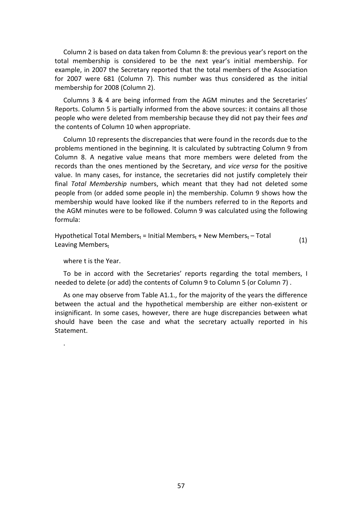Column 2 is based on data taken from Column 8: the previous year's report on the total membership is considered to be the next year's initial membership. For example, in 2007 the Secretary reported that the total members of the Association for 2007 were 681 (Column 7). This number was thus considered as the initial membership for 2008 (Column 2).

Columns 3 & 4 are being informed from the AGM minutes and the Secretaries' Reports. Column 5 is partially informed from the above sources: it contains all those people who were deleted from membership because they did not pay their fees *and*  the contents of Column 10 when appropriate.

Column 10 represents the discrepancies that were found in the records due to the problems mentioned in the beginning. It is calculated by subtracting Column 9 from Column 8. A negative value means that more members were deleted from the records than the ones mentioned by the Secretary, and *vice versa* for the positive value. In many cases, for instance, the secretaries did not justify completely their final *Total Membership* numbers, which meant that they had not deleted some people from (or added some people in) the membership. Column 9 shows how the membership would have looked like if the numbers referred to in the Reports and the AGM minutes were to be followed. Column 9 was calculated using the following formula:

Hypothetical Total Members<sub>t</sub> = Initial Members<sub>t</sub> + New Members<sub>t</sub> – Total Leaving Memberst (1)

where t is the Year.

.

To be in accord with the Secretaries' reports regarding the total members, I needed to delete (or add) the contents of Column 9 to Column 5 (or Column 7) .

As one may observe from Table A1.1., for the majority of the years the difference between the actual and the hypothetical membership are either non-existent or insignificant. In some cases, however, there are huge discrepancies between what should have been the case and what the secretary actually reported in his Statement.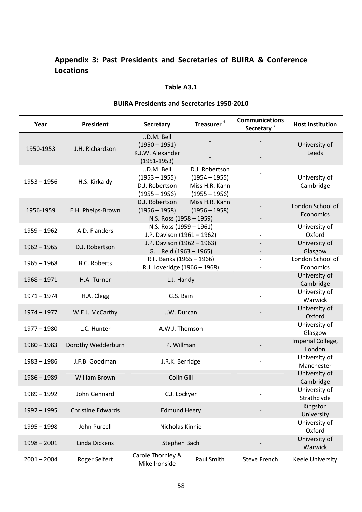### **Appendix 3: Past Presidents and Secretaries of BUIRA & Conference Locations**

#### **Table A3.1**

| <b>BUIRA Presidents and Secretaries 1950-2010</b> |                          |                                                                                                                                               |                                   |                                                 |                               |  |
|---------------------------------------------------|--------------------------|-----------------------------------------------------------------------------------------------------------------------------------------------|-----------------------------------|-------------------------------------------------|-------------------------------|--|
| Year                                              | President                | <b>Secretary</b>                                                                                                                              | Treasurer <sup>1</sup>            | <b>Communications</b><br>Secretary <sup>2</sup> | <b>Host Institution</b>       |  |
| 1950-1953                                         | J.H. Richardson          | J.D.M. Bell<br>$(1950 - 1951)$<br>K.J.W. Alexander<br>$(1951 - 1953)$                                                                         |                                   |                                                 | University of<br>Leeds        |  |
| $1953 - 1956$                                     | H.S. Kirkaldy            | J.D.M. Bell<br>D.J. Robertson<br>$(1953 - 1955)$<br>$(1954 - 1955)$<br>D.J. Robertson<br>Miss H.R. Kahn<br>$(1955 - 1956)$<br>$(1955 - 1956)$ |                                   |                                                 | University of<br>Cambridge    |  |
| 1956-1959                                         | E.H. Phelps-Brown        | D.J. Robertson<br>$(1956 - 1958)$<br>N.S. Ross (1958 - 1959)                                                                                  | Miss H.R. Kahn<br>$(1956 - 1958)$ |                                                 | London School of<br>Economics |  |
| $1959 - 1962$                                     | A.D. Flanders            | N.S. Ross (1959 - 1961)<br>J.P. Davison (1961 - 1962)                                                                                         |                                   |                                                 | University of<br>Oxford       |  |
| $1962 - 1965$                                     | D.J. Robertson           | J.P. Davison (1962 - 1963)<br>G.L. Reid (1963 - 1965)                                                                                         |                                   |                                                 | University of<br>Glasgow      |  |
| $1965 - 1968$                                     | <b>B.C. Roberts</b>      | R.F. Banks (1965 - 1966)<br>R.J. Loveridge (1966 - 1968)                                                                                      |                                   |                                                 | London School of<br>Economics |  |
| $1968 - 1971$                                     | H.A. Turner              | L.J. Handy                                                                                                                                    |                                   |                                                 | University of<br>Cambridge    |  |
| $1971 - 1974$                                     | H.A. Clegg               | G.S. Bain                                                                                                                                     |                                   |                                                 | University of<br>Warwick      |  |
| $1974 - 1977$                                     | W.E.J. McCarthy          | J.W. Durcan                                                                                                                                   |                                   |                                                 | University of<br>Oxford       |  |
| $1977 - 1980$                                     | L.C. Hunter              | A.W.J. Thomson                                                                                                                                |                                   |                                                 | University of<br>Glasgow      |  |
| $1980 - 1983$                                     | Dorothy Wedderburn       | P. Willman                                                                                                                                    |                                   |                                                 | Imperial College,<br>London   |  |
| $1983 - 1986$                                     | J.F.B. Goodman           | J.R.K. Berridge                                                                                                                               |                                   |                                                 | University of<br>Manchester   |  |
| $1986 - 1989$                                     | <b>William Brown</b>     | Colin Gill                                                                                                                                    |                                   |                                                 | University of<br>Cambridge    |  |
| 1989 - 1992                                       | John Gennard             | C.J. Lockyer                                                                                                                                  |                                   |                                                 | University of<br>Strathclyde  |  |
| $1992 - 1995$                                     | <b>Christine Edwards</b> | <b>Edmund Heery</b>                                                                                                                           |                                   |                                                 | Kingston<br>University        |  |
| $1995 - 1998$                                     | John Purcell             | Nicholas Kinnie                                                                                                                               |                                   |                                                 | University of<br>Oxford       |  |
| $1998 - 2001$                                     | Linda Dickens            | Stephen Bach                                                                                                                                  |                                   |                                                 | University of<br>Warwick      |  |
| $2001 - 2004$                                     | Roger Seifert            | Carole Thornley &<br>Mike Ironside                                                                                                            | Paul Smith                        | <b>Steve French</b>                             | Keele University              |  |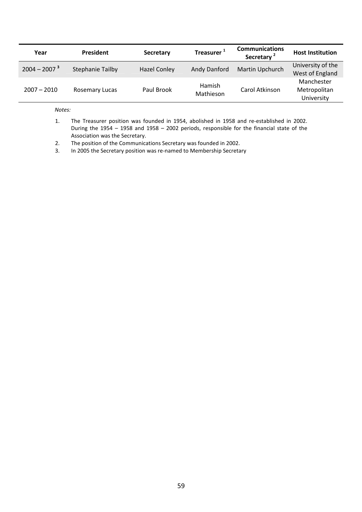| Year           | President               | <b>Secretary</b>    | Treasurer <sup>1</sup> | <b>Communications</b><br>Secretary <sup>2</sup> | <b>Host Institution</b>                  |
|----------------|-------------------------|---------------------|------------------------|-------------------------------------------------|------------------------------------------|
| $2004 - 20073$ | <b>Stephanie Tailby</b> | <b>Hazel Conley</b> | Andy Danford           | Martin Upchurch                                 | University of the<br>West of England     |
| $2007 - 2010$  | <b>Rosemary Lucas</b>   | Paul Brook          | Hamish<br>Mathieson    | Carol Atkinson                                  | Manchester<br>Metropolitan<br>University |

*Notes:* 

- 1. The Treasurer position was founded in 1954, abolished in 1958 and re-established in 2002. During the 1954 – 1958 and 1958 – 2002 periods, responsible for the financial state of the Association was the Secretary.
- 2. The position of the Communications Secretary was founded in 2002.
- 3. In 2005 the Secretary position was re-named to Membership Secretary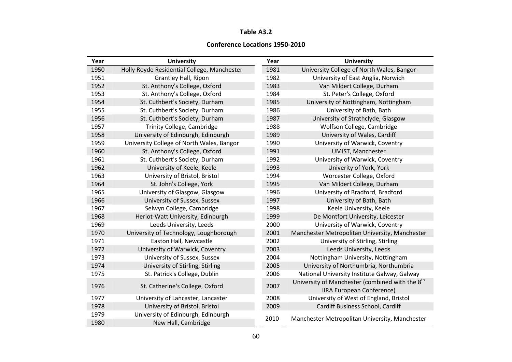#### **Table A3.2**

#### **Conference Locations 1950-2010**

| Year | <b>University</b>                                                    | Year | <b>University</b>                                           |
|------|----------------------------------------------------------------------|------|-------------------------------------------------------------|
| 1950 | Holly Royde Residential College, Manchester                          | 1981 | University College of North Wales, Bangor                   |
| 1951 | <b>Grantley Hall, Ripon</b>                                          | 1982 | University of East Anglia, Norwich                          |
| 1952 | St. Anthony's College, Oxford                                        | 1983 | Van Mildert College, Durham                                 |
| 1953 | St. Anthony's College, Oxford                                        | 1984 | St. Peter's College, Oxford                                 |
| 1954 | St. Cuthbert's Society, Durham                                       | 1985 | University of Nottingham, Nottingham                        |
| 1955 | St. Cuthbert's Society, Durham                                       | 1986 | University of Bath, Bath                                    |
| 1956 | St. Cuthbert's Society, Durham                                       | 1987 | University of Strathclyde, Glasgow                          |
| 1957 | Trinity College, Cambridge                                           | 1988 | Wolfson College, Cambridge                                  |
| 1958 | University of Edinburgh, Edinburgh                                   | 1989 | University of Wales, Cardiff                                |
| 1959 | University College of North Wales, Bangor                            | 1990 | University of Warwick, Coventry                             |
| 1960 | St. Anthony's College, Oxford                                        | 1991 | <b>UMIST, Manchester</b>                                    |
| 1961 | St. Cuthbert's Society, Durham                                       | 1992 | University of Warwick, Coventry                             |
| 1962 | University of Keele, Keele                                           | 1993 | Univerity of York, York                                     |
| 1963 | University of Bristol, Bristol                                       | 1994 | Worcester College, Oxford                                   |
| 1964 | St. John's College, York                                             | 1995 | Van Mildert College, Durham                                 |
| 1965 | University of Glasgow, Glasgow                                       | 1996 | University of Bradford, Bradford                            |
| 1966 | University of Sussex, Sussex                                         | 1997 | University of Bath, Bath                                    |
| 1967 | Selwyn College, Cambridge                                            | 1998 | Keele University, Keele                                     |
| 1968 | Heriot-Watt University, Edinburgh                                    | 1999 | De Montfort University, Leicester                           |
| 1969 | Leeds University, Leeds                                              | 2000 | University of Warwick, Coventry                             |
| 1970 | University of Technology, Loughborough                               | 2001 | Manchester Metropolitan University, Manchester              |
| 1971 | Easton Hall, Newcastle                                               | 2002 | University of Stirling, Stirling                            |
| 1972 | University of Warwick, Coventry                                      | 2003 | Leeds University, Leeds                                     |
| 1973 | University of Sussex, Sussex                                         | 2004 | Nottingham University, Nottingham                           |
| 1974 | University of Stirling, Stirling                                     | 2005 | University of Northumbria, Northumbria                      |
| 1975 | St. Patrick's College, Dublin                                        | 2006 | National University Institute Galway, Galway                |
| 1976 | St. Catherine's College, Oxford                                      | 2007 | University of Manchester (combined with the 8 <sup>th</sup> |
| 1977 |                                                                      | 2008 | <b>IIRA European Conference)</b>                            |
| 1978 | University of Lancaster, Lancaster                                   | 2009 | University of West of England, Bristol                      |
| 1979 | University of Bristol, Bristol<br>University of Edinburgh, Edinburgh |      | Cardiff Business School, Cardiff                            |
| 1980 | New Hall, Cambridge                                                  | 2010 | Manchester Metropolitan University, Manchester              |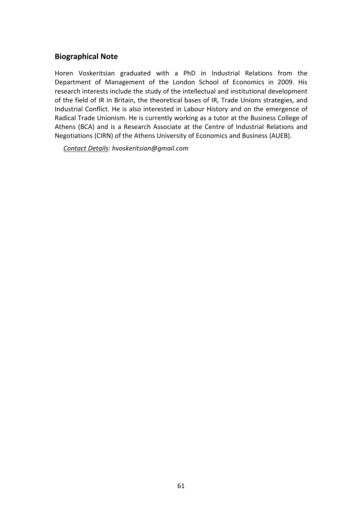#### **Biographical Note**

Horen Voskeritsian graduated with a PhD in Industrial Relations from the Department of Management of the London School of Economics in 2009. His research interests include the study of the intellectual and institutional development of the field of IR in Britain, the theoretical bases of IR, Trade Unions strategies, and Industrial Conflict. He is also interested in Labour History and on the emergence of Radical Trade Unionism. He is currently working as a tutor at the Business College of Athens (BCA) and is a Research Associate at the Centre of Industrial Relations and Negotiations (CIRN) of the Athens University of Economics and Business (AUEB).

*Contact Details: hvoskeritsian@gmail.com*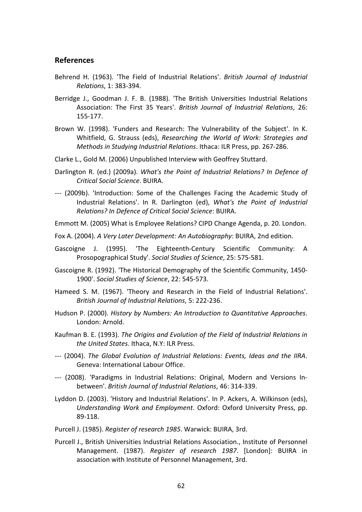#### **References**

- Behrend H. (1963). 'The Field of Industrial Relations'. *British Journal of Industrial Relations*, 1: 383-394.
- Berridge J., Goodman J. F. B. (1988). 'The British Universities Industrial Relations Association: The First 35 Years'. *British Journal of Industrial Relations*, 26: 155-177.
- Brown W. (1998). 'Funders and Research: The Vulnerability of the Subject'. In K. Whitfield, G. Strauss (eds), *Researching the World of Work: Strategies and Methods in Studying Industrial Relations*. Ithaca: ILR Press, pp. 267-286.
- Clarke L., Gold M. (2006) Unpublished Interview with Geoffrey Stuttard.
- Darlington R. (ed.) (2009a). *What's the Point of Industrial Relations? In Defence of Critical Social Science*. BUIRA.
- --- (2009b). 'Introduction: Some of the Challenges Facing the Academic Study of Industrial Relations'. In R. Darlington (ed), *What's the Point of Industrial Relations? In Defence of Critical Social Science*: BUIRA.
- Emmott M. (2005) What is Employee Relations? CIPD Change Agenda, p. 20. London.
- Fox A. (2004). *A Very Later Development: An Autobiography*: BUIRA, 2nd edition.
- Gascoigne J. (1995). 'The Eighteenth-Century Scientific Community: A Prosopographical Study'. *Social Studies of Science*, 25: 575-581.
- Gascoigne R. (1992). 'The Historical Demography of the Scientific Community, 1450- 1900'. *Social Studies of Science*, 22: 545-573.
- Hameed S. M. (1967). 'Theory and Research in the Field of Industrial Relations'. *British Journal of Industrial Relations*, 5: 222-236.
- Hudson P. (2000). *History by Numbers: An Introduction to Quantitative Approaches*. London: Arnold.
- Kaufman B. E. (1993). *The Origins and Evolution of the Field of Industrial Relations in the United States*. Ithaca, N.Y: ILR Press.
- --- (2004). *The Global Evolution of Industrial Relations: Events, Ideas and the IIRA*. Geneva: International Labour Office.
- --- (2008). 'Paradigms in Industrial Relations: Original, Modern and Versions Inbetween'. *British Journal of Industrial Relations*, 46: 314-339.
- Lyddon D. (2003). 'History and Industrial Relations'. In P. Ackers, A. Wilkinson (eds), *Understanding Work and Employment*. Oxford: Oxford University Press, pp. 89-118.
- Purcell J. (1985). *Register of research 1985*. Warwick: BUIRA, 3rd.
- Purcell J., British Universities Industrial Relations Association., Institute of Personnel Management. (1987). *Register of research 1987*. [London]: BUIRA in association with Institute of Personnel Management, 3rd.